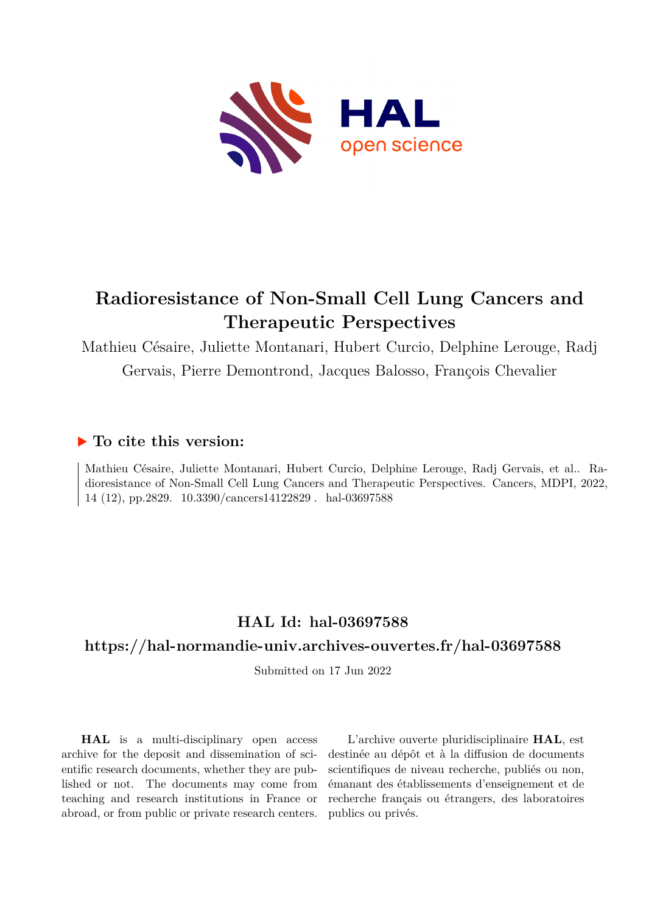

# **Radioresistance of Non-Small Cell Lung Cancers and Therapeutic Perspectives**

Mathieu Césaire, Juliette Montanari, Hubert Curcio, Delphine Lerouge, Radj Gervais, Pierre Demontrond, Jacques Balosso, François Chevalier

## **To cite this version:**

Mathieu Césaire, Juliette Montanari, Hubert Curcio, Delphine Lerouge, Radj Gervais, et al.. Radioresistance of Non-Small Cell Lung Cancers and Therapeutic Perspectives. Cancers, MDPI, 2022, 14 (12), pp.2829. 10.3390/cancers14122829 . hal-03697588

# **HAL Id: hal-03697588**

## **<https://hal-normandie-univ.archives-ouvertes.fr/hal-03697588>**

Submitted on 17 Jun 2022

**HAL** is a multi-disciplinary open access archive for the deposit and dissemination of scientific research documents, whether they are published or not. The documents may come from teaching and research institutions in France or abroad, or from public or private research centers.

L'archive ouverte pluridisciplinaire **HAL**, est destinée au dépôt et à la diffusion de documents scientifiques de niveau recherche, publiés ou non, émanant des établissements d'enseignement et de recherche français ou étrangers, des laboratoires publics ou privés.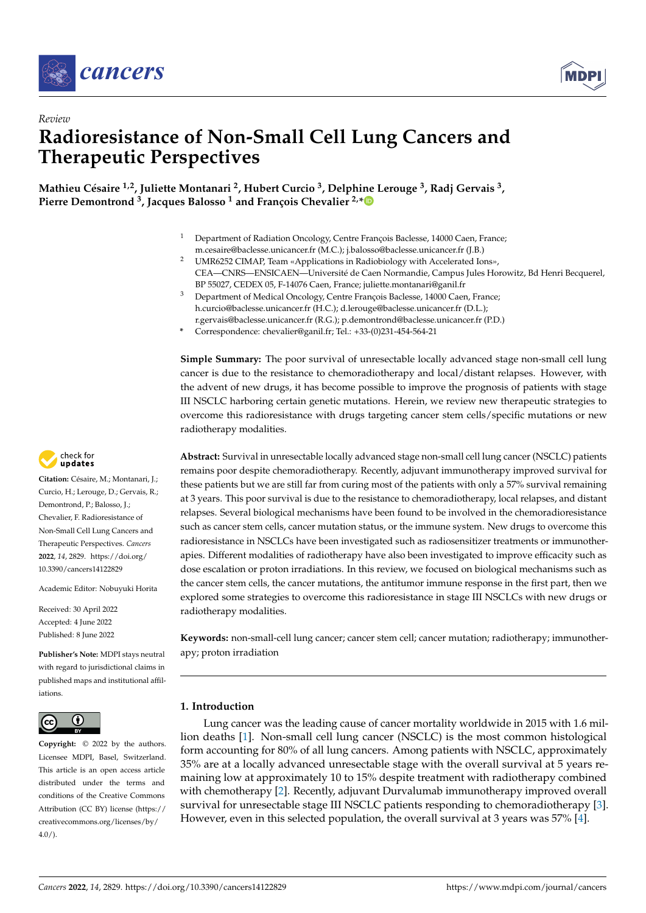



# *Review* **Radioresistance of Non-Small Cell Lung Cancers and Therapeutic Perspectives**

**Mathieu Césaire 1,2, Juliette Montanari <sup>2</sup> , Hubert Curcio <sup>3</sup> , Delphine Lerouge <sup>3</sup> , Radj Gervais <sup>3</sup> , Pierre Demontrond <sup>3</sup> , Jacques Balosso <sup>1</sup> and François Chevalier 2,[\\*](https://orcid.org/0000-0002-8488-2324)**

- <sup>1</sup> Department of Radiation Oncology, Centre François Baclesse, 14000 Caen, France; m.cesaire@baclesse.unicancer.fr (M.C.); j.balosso@baclesse.unicancer.fr (J.B.)
- <sup>2</sup> UMR6252 CIMAP, Team «Applications in Radiobiology with Accelerated Ions», CEA—CNRS—ENSICAEN—Université de Caen Normandie, Campus Jules Horowitz, Bd Henri Becquerel, BP 55027, CEDEX 05, F-14076 Caen, France; juliette.montanari@ganil.fr
- <sup>3</sup> Department of Medical Oncology, Centre François Baclesse, 14000 Caen, France; h.curcio@baclesse.unicancer.fr (H.C.); d.lerouge@baclesse.unicancer.fr (D.L.); r.gervais@baclesse.unicancer.fr (R.G.); p.demontrond@baclesse.unicancer.fr (P.D.)
- **\*** Correspondence: chevalier@ganil.fr; Tel.: +33-(0)231-454-564-21

**Simple Summary:** The poor survival of unresectable locally advanced stage non-small cell lung cancer is due to the resistance to chemoradiotherapy and local/distant relapses. However, with the advent of new drugs, it has become possible to improve the prognosis of patients with stage III NSCLC harboring certain genetic mutations. Herein, we review new therapeutic strategies to overcome this radioresistance with drugs targeting cancer stem cells/specific mutations or new radiotherapy modalities.

**Abstract:** Survival in unresectable locally advanced stage non-small cell lung cancer (NSCLC) patients remains poor despite chemoradiotherapy. Recently, adjuvant immunotherapy improved survival for these patients but we are still far from curing most of the patients with only a 57% survival remaining at 3 years. This poor survival is due to the resistance to chemoradiotherapy, local relapses, and distant relapses. Several biological mechanisms have been found to be involved in the chemoradioresistance such as cancer stem cells, cancer mutation status, or the immune system. New drugs to overcome this radioresistance in NSCLCs have been investigated such as radiosensitizer treatments or immunotherapies. Different modalities of radiotherapy have also been investigated to improve efficacity such as dose escalation or proton irradiations. In this review, we focused on biological mechanisms such as the cancer stem cells, the cancer mutations, the antitumor immune response in the first part, then we explored some strategies to overcome this radioresistance in stage III NSCLCs with new drugs or radiotherapy modalities.

**Keywords:** non-small-cell lung cancer; cancer stem cell; cancer mutation; radiotherapy; immunotherapy; proton irradiation

### **1. Introduction**

Lung cancer was the leading cause of cancer mortality worldwide in 2015 with 1.6 million deaths [1]. Non-small cell lung cancer (NSCLC) is the most common histological form accounting for 80% of all lung cancers. Among patients with NSCLC, approximately 35% are at a locally advanced unresectable stage with the overall survival at 5 years remaining low at approximately 10 to 15% despite treatment with radiotherapy combined with chemotherapy [2]. Recently, adjuvant Durvalumab immunotherapy improved overall survival for unresectable stage III NSCLC patients responding to chemoradiotherapy [3]. However, even in this selected population, the overall survival at 3 years was 57% [4].



**Citation:** Césaire, M.; Montanari, J.; Curcio, H.; Lerouge, D.; Gervais, R.; Demontrond, P.; Balosso, J.; Chevalier, F. Radioresistance of Non-Small Cell Lung Cancers and Therapeutic Perspectives. *Cancers* **2022**, *14*, 2829. [https://doi.org/](https://doi.org/10.3390/cancers14122829) [10.3390/cancers14122829](https://doi.org/10.3390/cancers14122829)

Academic Editor: Nobuyuki Horita

Received: 30 April 2022 Accepted: 4 June 2022 Published: 8 June 2022

**Publisher's Note:** MDPI stays neutral with regard to jurisdictional claims in published maps and institutional affiliations.



**Copyright:** © 2022 by the authors. Licensee MDPI, Basel, Switzerland. This article is an open access article distributed under the terms and conditions of the Creative Commons Attribution (CC BY) license [\(https://](https://creativecommons.org/licenses/by/4.0/) [creativecommons.org/licenses/by/](https://creativecommons.org/licenses/by/4.0/)  $4.0/$ ).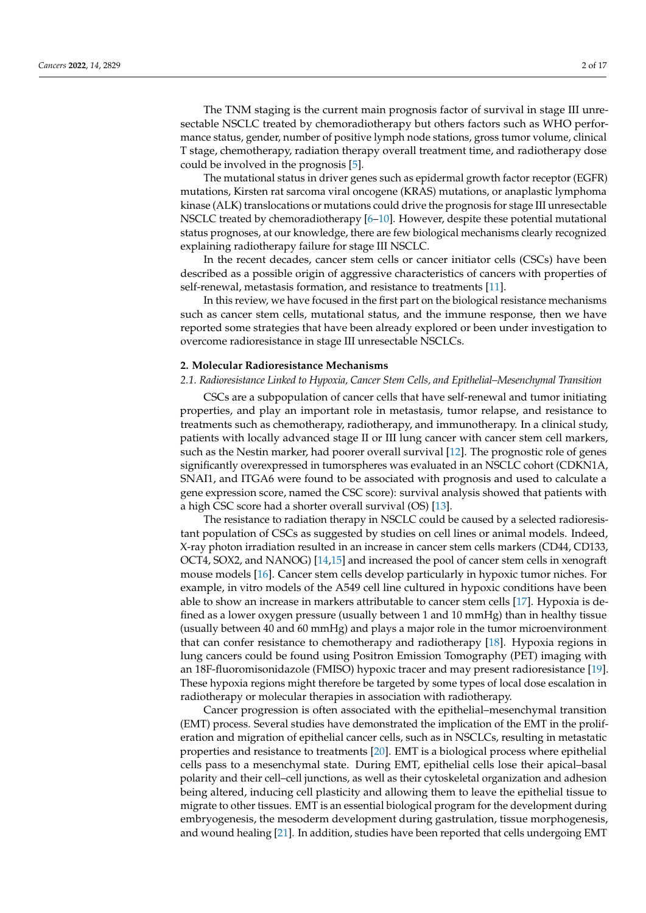The TNM staging is the current main prognosis factor of survival in stage III unresectable NSCLC treated by chemoradiotherapy but others factors such as WHO performance status, gender, number of positive lymph node stations, gross tumor volume, clinical T stage, chemotherapy, radiation therapy overall treatment time, and radiotherapy dose could be involved in the prognosis [5].

The mutational status in driver genes such as epidermal growth factor receptor (EGFR) mutations, Kirsten rat sarcoma viral oncogene (KRAS) mutations, or anaplastic lymphoma kinase (ALK) translocations or mutations could drive the prognosis for stage III unresectable NSCLC treated by chemoradiotherapy [6–10]. However, despite these potential mutational status prognoses, at our knowledge, there are few biological mechanisms clearly recognized explaining radiotherapy failure for stage III NSCLC.

In the recent decades, cancer stem cells or cancer initiator cells (CSCs) have been described as a possible origin of aggressive characteristics of cancers with properties of self-renewal, metastasis formation, and resistance to treatments [11].

In this review, we have focused in the first part on the biological resistance mechanisms such as cancer stem cells, mutational status, and the immune response, then we have reported some strategies that have been already explored or been under investigation to overcome radioresistance in stage III unresectable NSCLCs.

#### **2. Molecular Radioresistance Mechanisms**

#### *2.1. Radioresistance Linked to Hypoxia, Cancer Stem Cells, and Epithelial–Mesenchymal Transition*

CSCs are a subpopulation of cancer cells that have self-renewal and tumor initiating properties, and play an important role in metastasis, tumor relapse, and resistance to treatments such as chemotherapy, radiotherapy, and immunotherapy. In a clinical study, patients with locally advanced stage II or III lung cancer with cancer stem cell markers, such as the Nestin marker, had poorer overall survival [12]. The prognostic role of genes significantly overexpressed in tumorspheres was evaluated in an NSCLC cohort (CDKN1A, SNAI1, and ITGA6 were found to be associated with prognosis and used to calculate a gene expression score, named the CSC score): survival analysis showed that patients with a high CSC score had a shorter overall survival (OS) [13].

The resistance to radiation therapy in NSCLC could be caused by a selected radioresistant population of CSCs as suggested by studies on cell lines or animal models. Indeed, X-ray photon irradiation resulted in an increase in cancer stem cells markers (CD44, CD133, OCT4, SOX2, and NANOG) [14,15] and increased the pool of cancer stem cells in xenograft mouse models [16]. Cancer stem cells develop particularly in hypoxic tumor niches. For example, in vitro models of the A549 cell line cultured in hypoxic conditions have been able to show an increase in markers attributable to cancer stem cells [17]. Hypoxia is defined as a lower oxygen pressure (usually between 1 and 10 mmHg) than in healthy tissue (usually between 40 and 60 mmHg) and plays a major role in the tumor microenvironment that can confer resistance to chemotherapy and radiotherapy [18]. Hypoxia regions in lung cancers could be found using Positron Emission Tomography (PET) imaging with an 18F-fluoromisonidazole (FMISO) hypoxic tracer and may present radioresistance [19]. These hypoxia regions might therefore be targeted by some types of local dose escalation in radiotherapy or molecular therapies in association with radiotherapy.

Cancer progression is often associated with the epithelial–mesenchymal transition (EMT) process. Several studies have demonstrated the implication of the EMT in the proliferation and migration of epithelial cancer cells, such as in NSCLCs, resulting in metastatic properties and resistance to treatments [20]. EMT is a biological process where epithelial cells pass to a mesenchymal state. During EMT, epithelial cells lose their apical–basal polarity and their cell–cell junctions, as well as their cytoskeletal organization and adhesion being altered, inducing cell plasticity and allowing them to leave the epithelial tissue to migrate to other tissues. EMT is an essential biological program for the development during embryogenesis, the mesoderm development during gastrulation, tissue morphogenesis, and wound healing [21]. In addition, studies have been reported that cells undergoing EMT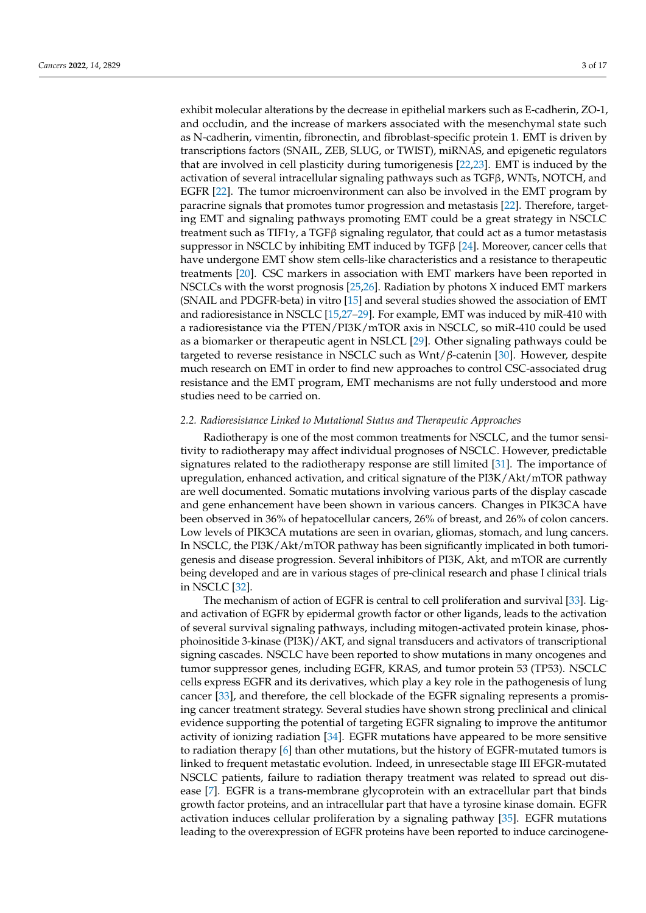exhibit molecular alterations by the decrease in epithelial markers such as E-cadherin, ZO-1, and occludin, and the increase of markers associated with the mesenchymal state such as N-cadherin, vimentin, fibronectin, and fibroblast-specific protein 1. EMT is driven by transcriptions factors (SNAIL, ZEB, SLUG, or TWIST), miRNAS, and epigenetic regulators that are involved in cell plasticity during tumorigenesis [22,23]. EMT is induced by the activation of several intracellular signaling pathways such as  $TGF\beta$ , WNTs, NOTCH, and EGFR [22]. The tumor microenvironment can also be involved in the EMT program by paracrine signals that promotes tumor progression and metastasis [22]. Therefore, targeting EMT and signaling pathways promoting EMT could be a great strategy in NSCLC treatment such as TIF1 $\gamma$ , a TGF $\beta$  signaling regulator, that could act as a tumor metastasis suppressor in NSCLC by inhibiting EMT induced by TGF $\beta$  [24]. Moreover, cancer cells that have undergone EMT show stem cells-like characteristics and a resistance to therapeutic treatments [20]. CSC markers in association with EMT markers have been reported in NSCLCs with the worst prognosis [25,26]. Radiation by photons X induced EMT markers (SNAIL and PDGFR-beta) in vitro [15] and several studies showed the association of EMT and radioresistance in NSCLC [15,27–29]. For example, EMT was induced by miR-410 with a radioresistance via the PTEN/PI3K/mTOR axis in NSCLC, so miR-410 could be used as a biomarker or therapeutic agent in NSLCL [29]. Other signaling pathways could be targeted to reverse resistance in NSCLC such as Wnt/*β*-catenin [30]. However, despite much research on EMT in order to find new approaches to control CSC-associated drug resistance and the EMT program, EMT mechanisms are not fully understood and more studies need to be carried on.

### *2.2. Radioresistance Linked to Mutational Status and Therapeutic Approaches*

Radiotherapy is one of the most common treatments for NSCLC, and the tumor sensitivity to radiotherapy may affect individual prognoses of NSCLC. However, predictable signatures related to the radiotherapy response are still limited [31]. The importance of upregulation, enhanced activation, and critical signature of the PI3K/Akt/mTOR pathway are well documented. Somatic mutations involving various parts of the display cascade and gene enhancement have been shown in various cancers. Changes in PIK3CA have been observed in 36% of hepatocellular cancers, 26% of breast, and 26% of colon cancers. Low levels of PIK3CA mutations are seen in ovarian, gliomas, stomach, and lung cancers. In NSCLC, the PI3K/Akt/mTOR pathway has been significantly implicated in both tumorigenesis and disease progression. Several inhibitors of PI3K, Akt, and mTOR are currently being developed and are in various stages of pre-clinical research and phase I clinical trials in NSCLC [32].

The mechanism of action of EGFR is central to cell proliferation and survival [33]. Ligand activation of EGFR by epidermal growth factor or other ligands, leads to the activation of several survival signaling pathways, including mitogen-activated protein kinase, phosphoinositide 3-kinase (PI3K)/AKT, and signal transducers and activators of transcriptional signing cascades. NSCLC have been reported to show mutations in many oncogenes and tumor suppressor genes, including EGFR, KRAS, and tumor protein 53 (TP53). NSCLC cells express EGFR and its derivatives, which play a key role in the pathogenesis of lung cancer [33], and therefore, the cell blockade of the EGFR signaling represents a promising cancer treatment strategy. Several studies have shown strong preclinical and clinical evidence supporting the potential of targeting EGFR signaling to improve the antitumor activity of ionizing radiation [34]. EGFR mutations have appeared to be more sensitive to radiation therapy [6] than other mutations, but the history of EGFR-mutated tumors is linked to frequent metastatic evolution. Indeed, in unresectable stage III EFGR-mutated NSCLC patients, failure to radiation therapy treatment was related to spread out disease [7]. EGFR is a trans-membrane glycoprotein with an extracellular part that binds growth factor proteins, and an intracellular part that have a tyrosine kinase domain. EGFR activation induces cellular proliferation by a signaling pathway [35]. EGFR mutations leading to the overexpression of EGFR proteins have been reported to induce carcinogene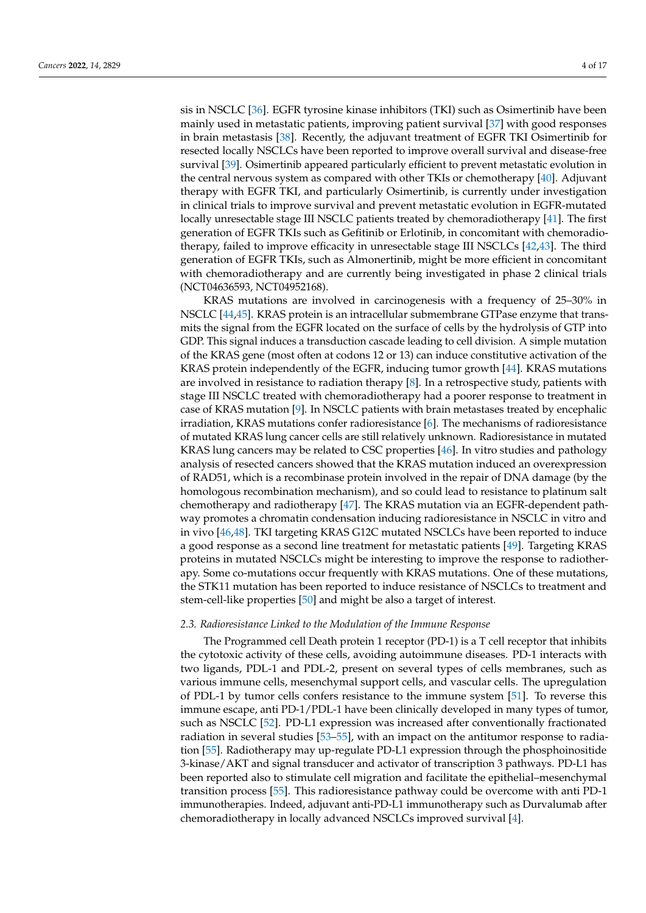sis in NSCLC [36]. EGFR tyrosine kinase inhibitors (TKI) such as Osimertinib have been mainly used in metastatic patients, improving patient survival [37] with good responses in brain metastasis [38]. Recently, the adjuvant treatment of EGFR TKI Osimertinib for resected locally NSCLCs have been reported to improve overall survival and disease-free survival [39]. Osimertinib appeared particularly efficient to prevent metastatic evolution in the central nervous system as compared with other TKIs or chemotherapy [40]. Adjuvant therapy with EGFR TKI, and particularly Osimertinib, is currently under investigation in clinical trials to improve survival and prevent metastatic evolution in EGFR-mutated locally unresectable stage III NSCLC patients treated by chemoradiotherapy [41]. The first generation of EGFR TKIs such as Gefitinib or Erlotinib, in concomitant with chemoradiotherapy, failed to improve efficacity in unresectable stage III NSCLCs [42,43]. The third generation of EGFR TKIs, such as Almonertinib, might be more efficient in concomitant with chemoradiotherapy and are currently being investigated in phase 2 clinical trials (NCT04636593, NCT04952168).

KRAS mutations are involved in carcinogenesis with a frequency of 25–30% in NSCLC [44,45]. KRAS protein is an intracellular submembrane GTPase enzyme that transmits the signal from the EGFR located on the surface of cells by the hydrolysis of GTP into GDP. This signal induces a transduction cascade leading to cell division. A simple mutation of the KRAS gene (most often at codons 12 or 13) can induce constitutive activation of the KRAS protein independently of the EGFR, inducing tumor growth [44]. KRAS mutations are involved in resistance to radiation therapy [8]. In a retrospective study, patients with stage III NSCLC treated with chemoradiotherapy had a poorer response to treatment in case of KRAS mutation [9]. In NSCLC patients with brain metastases treated by encephalic irradiation, KRAS mutations confer radioresistance [6]. The mechanisms of radioresistance of mutated KRAS lung cancer cells are still relatively unknown. Radioresistance in mutated KRAS lung cancers may be related to CSC properties [46]. In vitro studies and pathology analysis of resected cancers showed that the KRAS mutation induced an overexpression of RAD51, which is a recombinase protein involved in the repair of DNA damage (by the homologous recombination mechanism), and so could lead to resistance to platinum salt chemotherapy and radiotherapy [47]. The KRAS mutation via an EGFR-dependent pathway promotes a chromatin condensation inducing radioresistance in NSCLC in vitro and in vivo [46,48]. TKI targeting KRAS G12C mutated NSCLCs have been reported to induce a good response as a second line treatment for metastatic patients [49]. Targeting KRAS proteins in mutated NSCLCs might be interesting to improve the response to radiotherapy. Some co-mutations occur frequently with KRAS mutations. One of these mutations, the STK11 mutation has been reported to induce resistance of NSCLCs to treatment and stem-cell-like properties [50] and might be also a target of interest.

#### *2.3. Radioresistance Linked to the Modulation of the Immune Response*

The Programmed cell Death protein 1 receptor (PD-1) is a T cell receptor that inhibits the cytotoxic activity of these cells, avoiding autoimmune diseases. PD-1 interacts with two ligands, PDL-1 and PDL-2, present on several types of cells membranes, such as various immune cells, mesenchymal support cells, and vascular cells. The upregulation of PDL-1 by tumor cells confers resistance to the immune system [51]. To reverse this immune escape, anti PD-1/PDL-1 have been clinically developed in many types of tumor, such as NSCLC [52]. PD-L1 expression was increased after conventionally fractionated radiation in several studies [53–55], with an impact on the antitumor response to radiation [55]. Radiotherapy may up-regulate PD-L1 expression through the phosphoinositide 3-kinase/AKT and signal transducer and activator of transcription 3 pathways. PD-L1 has been reported also to stimulate cell migration and facilitate the epithelial–mesenchymal transition process [55]. This radioresistance pathway could be overcome with anti PD-1 immunotherapies. Indeed, adjuvant anti-PD-L1 immunotherapy such as Durvalumab after chemoradiotherapy in locally advanced NSCLCs improved survival [4].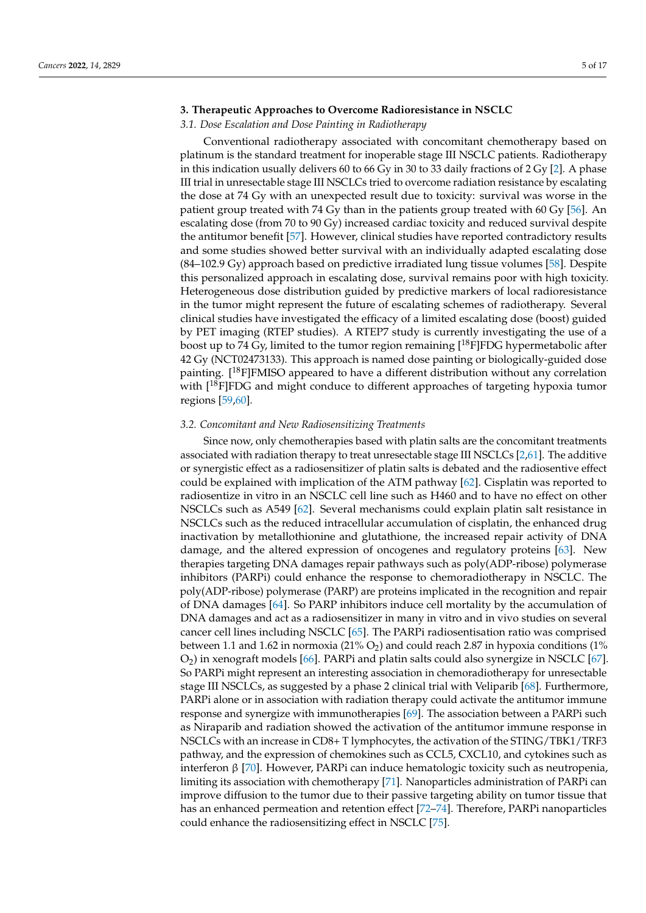#### **3. Therapeutic Approaches to Overcome Radioresistance in NSCLC**

### *3.1. Dose Escalation and Dose Painting in Radiotherapy*

Conventional radiotherapy associated with concomitant chemotherapy based on platinum is the standard treatment for inoperable stage III NSCLC patients. Radiotherapy in this indication usually delivers 60 to 66 Gy in 30 to 33 daily fractions of 2 Gy [2]. A phase III trial in unresectable stage III NSCLCs tried to overcome radiation resistance by escalating the dose at 74 Gy with an unexpected result due to toxicity: survival was worse in the patient group treated with 74 Gy than in the patients group treated with 60 Gy [56]. An escalating dose (from 70 to 90 Gy) increased cardiac toxicity and reduced survival despite the antitumor benefit [57]. However, clinical studies have reported contradictory results and some studies showed better survival with an individually adapted escalating dose (84–102.9 Gy) approach based on predictive irradiated lung tissue volumes [58]. Despite this personalized approach in escalating dose, survival remains poor with high toxicity. Heterogeneous dose distribution guided by predictive markers of local radioresistance in the tumor might represent the future of escalating schemes of radiotherapy. Several clinical studies have investigated the efficacy of a limited escalating dose (boost) guided by PET imaging (RTEP studies). A RTEP7 study is currently investigating the use of a boost up to 74 Gy, limited to the tumor region remaining  $[18F]FDG$  hypermetabolic after 42 Gy (NCT02473133). This approach is named dose painting or biologically-guided dose painting.  $[18F]FMISO$  appeared to have a different distribution without any correlation with  $[18F]FDG$  and might conduce to different approaches of targeting hypoxia tumor regions [59,60].

#### *3.2. Concomitant and New Radiosensitizing Treatments*

Since now, only chemotherapies based with platin salts are the concomitant treatments associated with radiation therapy to treat unresectable stage III NSCLCs [2,61]. The additive or synergistic effect as a radiosensitizer of platin salts is debated and the radiosentive effect could be explained with implication of the ATM pathway [62]. Cisplatin was reported to radiosentize in vitro in an NSCLC cell line such as H460 and to have no effect on other NSCLCs such as A549 [62]. Several mechanisms could explain platin salt resistance in NSCLCs such as the reduced intracellular accumulation of cisplatin, the enhanced drug inactivation by metallothionine and glutathione, the increased repair activity of DNA damage, and the altered expression of oncogenes and regulatory proteins [63]. New therapies targeting DNA damages repair pathways such as poly(ADP-ribose) polymerase inhibitors (PARPi) could enhance the response to chemoradiotherapy in NSCLC. The poly(ADP-ribose) polymerase (PARP) are proteins implicated in the recognition and repair of DNA damages [64]. So PARP inhibitors induce cell mortality by the accumulation of DNA damages and act as a radiosensitizer in many in vitro and in vivo studies on several cancer cell lines including NSCLC [65]. The PARPi radiosentisation ratio was comprised between 1.1 and 1.62 in normoxia (21%  $O_2$ ) and could reach 2.87 in hypoxia conditions (1%  $O<sub>2</sub>$ ) in xenograft models [66]. PARPi and platin salts could also synergize in NSCLC [67]. So PARPi might represent an interesting association in chemoradiotherapy for unresectable stage III NSCLCs, as suggested by a phase 2 clinical trial with Veliparib [68]. Furthermore, PARPi alone or in association with radiation therapy could activate the antitumor immune response and synergize with immunotherapies [69]. The association between a PARPi such as Niraparib and radiation showed the activation of the antitumor immune response in NSCLCs with an increase in CD8+ T lymphocytes, the activation of the STING/TBK1/TRF3 pathway, and the expression of chemokines such as CCL5, CXCL10, and cytokines such as interferon β [70]. However, PARPi can induce hematologic toxicity such as neutropenia, limiting its association with chemotherapy [71]. Nanoparticles administration of PARPi can improve diffusion to the tumor due to their passive targeting ability on tumor tissue that has an enhanced permeation and retention effect [72–74]. Therefore, PARPi nanoparticles could enhance the radiosensitizing effect in NSCLC [75].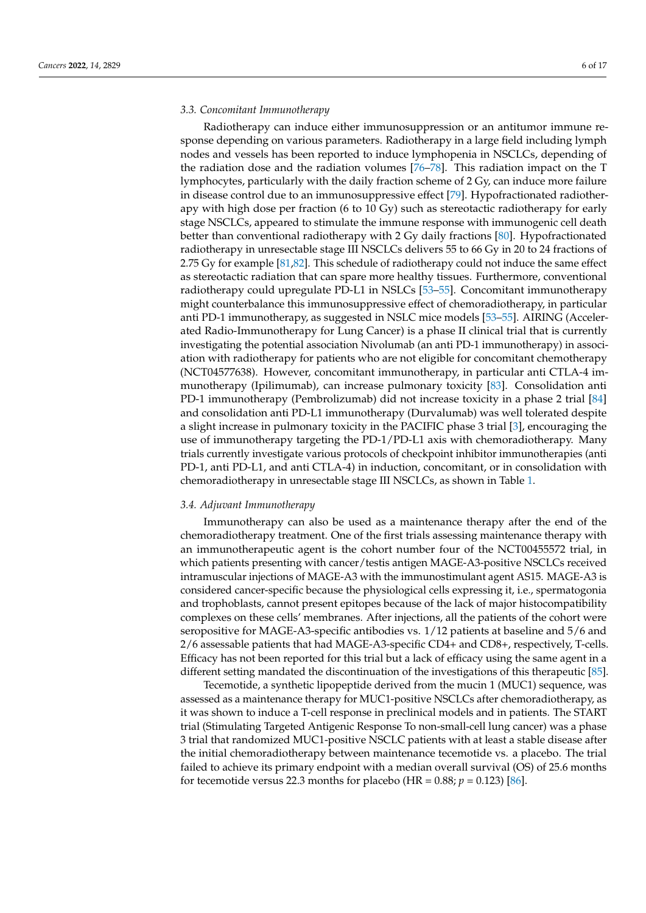#### *3.3. Concomitant Immunotherapy*

Radiotherapy can induce either immunosuppression or an antitumor immune response depending on various parameters. Radiotherapy in a large field including lymph nodes and vessels has been reported to induce lymphopenia in NSCLCs, depending of the radiation dose and the radiation volumes [76–78]. This radiation impact on the T lymphocytes, particularly with the daily fraction scheme of 2 Gy, can induce more failure in disease control due to an immunosuppressive effect [79]. Hypofractionated radiotherapy with high dose per fraction (6 to 10 Gy) such as stereotactic radiotherapy for early stage NSCLCs, appeared to stimulate the immune response with immunogenic cell death better than conventional radiotherapy with 2 Gy daily fractions [80]. Hypofractionated radiotherapy in unresectable stage III NSCLCs delivers 55 to 66 Gy in 20 to 24 fractions of 2.75 Gy for example [81,82]. This schedule of radiotherapy could not induce the same effect as stereotactic radiation that can spare more healthy tissues. Furthermore, conventional radiotherapy could upregulate PD-L1 in NSLCs [53–55]. Concomitant immunotherapy might counterbalance this immunosuppressive effect of chemoradiotherapy, in particular anti PD-1 immunotherapy, as suggested in NSLC mice models [53–55]. AIRING (Accelerated Radio-Immunotherapy for Lung Cancer) is a phase II clinical trial that is currently investigating the potential association Nivolumab (an anti PD-1 immunotherapy) in association with radiotherapy for patients who are not eligible for concomitant chemotherapy (NCT04577638). However, concomitant immunotherapy, in particular anti CTLA-4 immunotherapy (Ipilimumab), can increase pulmonary toxicity [83]. Consolidation anti PD-1 immunotherapy (Pembrolizumab) did not increase toxicity in a phase 2 trial [84] and consolidation anti PD-L1 immunotherapy (Durvalumab) was well tolerated despite a slight increase in pulmonary toxicity in the PACIFIC phase 3 trial [3], encouraging the use of immunotherapy targeting the PD-1/PD-L1 axis with chemoradiotherapy. Many trials currently investigate various protocols of checkpoint inhibitor immunotherapies (anti PD-1, anti PD-L1, and anti CTLA-4) in induction, concomitant, or in consolidation with chemoradiotherapy in unresectable stage III NSCLCs, as shown in Table 1.

#### *3.4. Adjuvant Immunotherapy*

Immunotherapy can also be used as a maintenance therapy after the end of the chemoradiotherapy treatment. One of the first trials assessing maintenance therapy with an immunotherapeutic agent is the cohort number four of the NCT00455572 trial, in which patients presenting with cancer/testis antigen MAGE-A3-positive NSCLCs received intramuscular injections of MAGE-A3 with the immunostimulant agent AS15. MAGE-A3 is considered cancer-specific because the physiological cells expressing it, i.e., spermatogonia and trophoblasts, cannot present epitopes because of the lack of major histocompatibility complexes on these cells' membranes. After injections, all the patients of the cohort were seropositive for MAGE-A3-specific antibodies vs. 1/12 patients at baseline and 5/6 and 2/6 assessable patients that had MAGE-A3-specific CD4+ and CD8+, respectively, T-cells. Efficacy has not been reported for this trial but a lack of efficacy using the same agent in a different setting mandated the discontinuation of the investigations of this therapeutic [85].

Tecemotide, a synthetic lipopeptide derived from the mucin 1 (MUC1) sequence, was assessed as a maintenance therapy for MUC1-positive NSCLCs after chemoradiotherapy, as it was shown to induce a T-cell response in preclinical models and in patients. The START trial (Stimulating Targeted Antigenic Response To non-small-cell lung cancer) was a phase 3 trial that randomized MUC1-positive NSCLC patients with at least a stable disease after the initial chemoradiotherapy between maintenance tecemotide vs. a placebo. The trial failed to achieve its primary endpoint with a median overall survival (OS) of 25.6 months for tecemotide versus 22.3 months for placebo (HR =  $0.88; p = 0.123$ ) [ $86$ ].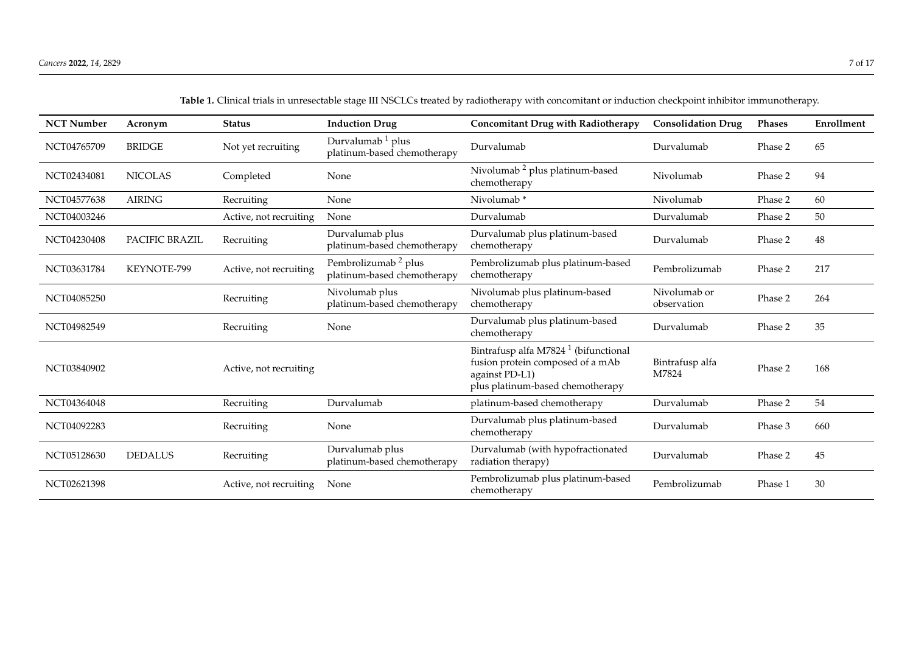| <b>NCT Number</b> | Acronym        | <b>Status</b>          | <b>Induction Drug</b>                                          | <b>Concomitant Drug with Radiotherapy</b>                                                                                                  | <b>Consolidation Drug</b>   | <b>Phases</b> | Enrollment |
|-------------------|----------------|------------------------|----------------------------------------------------------------|--------------------------------------------------------------------------------------------------------------------------------------------|-----------------------------|---------------|------------|
| NCT04765709       | <b>BRIDGE</b>  | Not yet recruiting     | Durvalumab <sup>1</sup> plus<br>platinum-based chemotherapy    | Durvalumab                                                                                                                                 | Durvalumab                  | Phase 2       | 65         |
| NCT02434081       | <b>NICOLAS</b> | Completed              | None                                                           | Nivolumab <sup>2</sup> plus platinum-based<br>chemotherapy                                                                                 | Nivolumab                   | Phase 2       | 94         |
| NCT04577638       | <b>AIRING</b>  | Recruiting             | None                                                           | Nivolumab*                                                                                                                                 | Nivolumab                   | Phase 2       | 60         |
| NCT04003246       |                | Active, not recruiting | None                                                           | Durvalumab                                                                                                                                 | Durvalumab                  | Phase 2       | 50         |
| NCT04230408       | PACIFIC BRAZIL | Recruiting             | Durvalumab plus<br>platinum-based chemotherapy                 | Durvalumab plus platinum-based<br>Durvalumab<br>chemotherapy                                                                               |                             | Phase 2       | 48         |
| NCT03631784       | KEYNOTE-799    | Active, not recruiting | Pembrolizumab <sup>2</sup> plus<br>platinum-based chemotherapy | Pembrolizumab plus platinum-based<br>Pembrolizumab<br>chemotherapy                                                                         |                             | Phase 2       | 217        |
| NCT04085250       |                | Recruiting             | Nivolumab plus<br>platinum-based chemotherapy                  | Nivolumab plus platinum-based<br>chemotherapy                                                                                              | Nivolumab or<br>observation | Phase 2       | 264        |
| NCT04982549       |                | Recruiting             | None                                                           | Durvalumab plus platinum-based<br>chemotherapy                                                                                             | Durvalumab                  | Phase 2       | 35         |
| NCT03840902       |                | Active, not recruiting |                                                                | Bintrafusp alfa M7824 <sup>1</sup> (bifunctional<br>fusion protein composed of a mAb<br>against PD-L1)<br>plus platinum-based chemotherapy | Bintrafusp alfa<br>M7824    | Phase 2       | 168        |
| NCT04364048       |                | Recruiting             | Durvalumab                                                     | platinum-based chemotherapy                                                                                                                | Durvalumab                  | Phase 2       | 54         |
| NCT04092283       |                | Recruiting             | None                                                           | Durvalumab plus platinum-based<br>chemotherapy                                                                                             | Durvalumab                  | Phase 3       | 660        |
| NCT05128630       | <b>DEDALUS</b> | Recruiting             | Durvalumab plus<br>platinum-based chemotherapy                 | Durvalumab (with hypofractionated<br>Durvalumab<br>radiation therapy)                                                                      |                             | Phase 2       | $45\,$     |
| NCT02621398       |                | Active, not recruiting | None                                                           | Pembrolizumab plus platinum-based<br>chemotherapy                                                                                          | Pembrolizumab               | Phase 1       | 30         |

**Table 1.** Clinical trials in unresectable stage III NSCLCs treated by radiotherapy with concomitant or induction checkpoint inhibitor immunotherapy.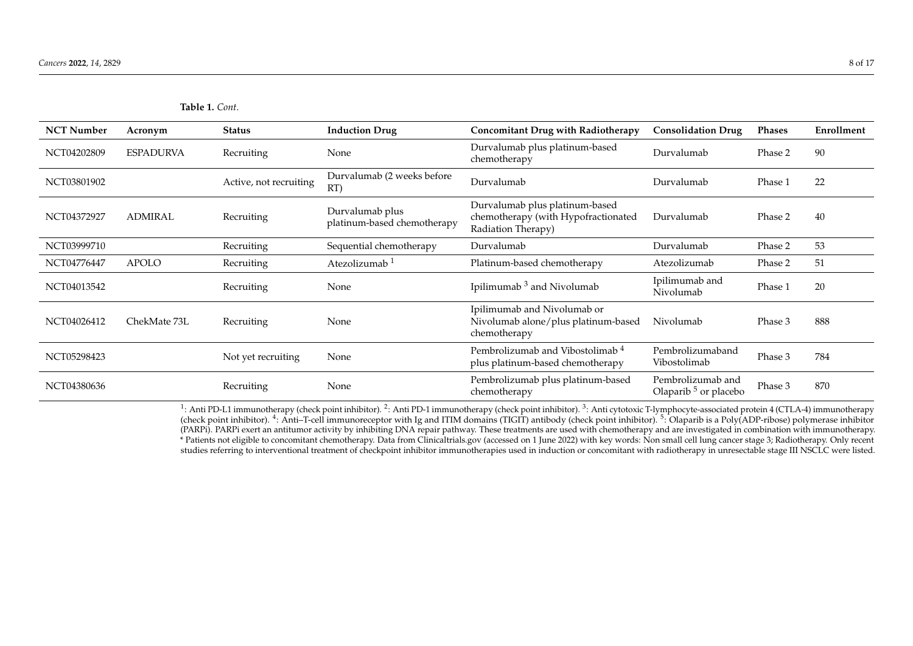| <b>NCT Number</b> | Acronym          | <b>Status</b>          | <b>Induction Drug</b>                          | <b>Concomitant Drug with Radiotherapy</b>                                                                 | <b>Consolidation Drug</b>                             | <b>Phases</b> | Enrollment |
|-------------------|------------------|------------------------|------------------------------------------------|-----------------------------------------------------------------------------------------------------------|-------------------------------------------------------|---------------|------------|
| NCT04202809       | <b>ESPADURVA</b> | Recruiting             | None                                           | Durvalumab plus platinum-based<br>Durvalumab<br>chemotherapy                                              |                                                       | Phase 2       | 90         |
| NCT03801902       |                  | Active, not recruiting | Durvalumab (2 weeks before<br>RT)              | Durvalumab<br>Durvalumab                                                                                  |                                                       | Phase 1       | 22         |
| NCT04372927       | <b>ADMIRAL</b>   | Recruiting             | Durvalumab plus<br>platinum-based chemotherapy | Durvalumab plus platinum-based<br>chemotherapy (with Hypofractionated<br>Durvalumab<br>Radiation Therapy) |                                                       | Phase 2       | 40         |
| NCT03999710       |                  | Recruiting             | Sequential chemotherapy                        | Durvalumab                                                                                                | Durvalumab                                            | Phase 2       | 53         |
| NCT04776447       | <b>APOLO</b>     | Recruiting             | Atezolizumab <sup>1</sup>                      | Platinum-based chemotherapy                                                                               | Atezolizumab                                          | Phase 2       | 51         |
| NCT04013542       |                  | Recruiting             | None                                           | Ipilimumab <sup>3</sup> and Nivolumab                                                                     | Ipilimumab and<br>Nivolumab                           | Phase 1       | 20         |
| NCT04026412       | ChekMate 73L     | Recruiting             | None                                           | Ipilimumab and Nivolumab or<br>Nivolumab alone/plus platinum-based<br>chemotherapy                        | Nivolumab                                             | Phase 3       | 888        |
| NCT05298423       |                  | Not yet recruiting     | None                                           | Pembrolizumab and Vibostolimab <sup>4</sup><br>plus platinum-based chemotherapy                           | Pembrolizumaband<br>Vibostolimab                      | Phase 3       | 784        |
| NCT04380636       |                  | Recruiting             | None                                           | Pembrolizumab plus platinum-based<br>chemotherapy                                                         | Pembrolizumab and<br>Olaparib <sup>5</sup> or placebo | Phase 3       | 870        |

<sup>1</sup>: Anti PD-L1 immunotherapy (check point inhibitor). <sup>2</sup>: Anti PD-1 immunotherapy (check point inhibitor). <sup>3</sup>: Anti cytotoxic T-lymphocyte-associated protein 4 (CTLA-4) immunotherapy (check point inhibitor). <sup>4</sup>: Anti–T-cell immunoreceptor with Ig and ITIM domains (TIGIT) antibody (check point inhibitor). <sup>5</sup>: Olaparib is a Poly(ADP-ribose) polymerase inhibitor (PARPi). PARPi exert an antitumor activity by inhibiting DNA repair pathway. These treatments are used with chemotherapy and are investigated in combination with immunotherapy. \* Patients not eligible to concomitant chemotherapy. Data from Clinicaltrials.gov (accessed on 1 June 2022) with key words: Non small cell lung cancer stage 3; Radiotherapy. Only recent studies referring to interventional treatment of checkpoint inhibitor immunotherapies used in induction or concomitant with radiotherapy in unresectable stage III NSCLC were listed.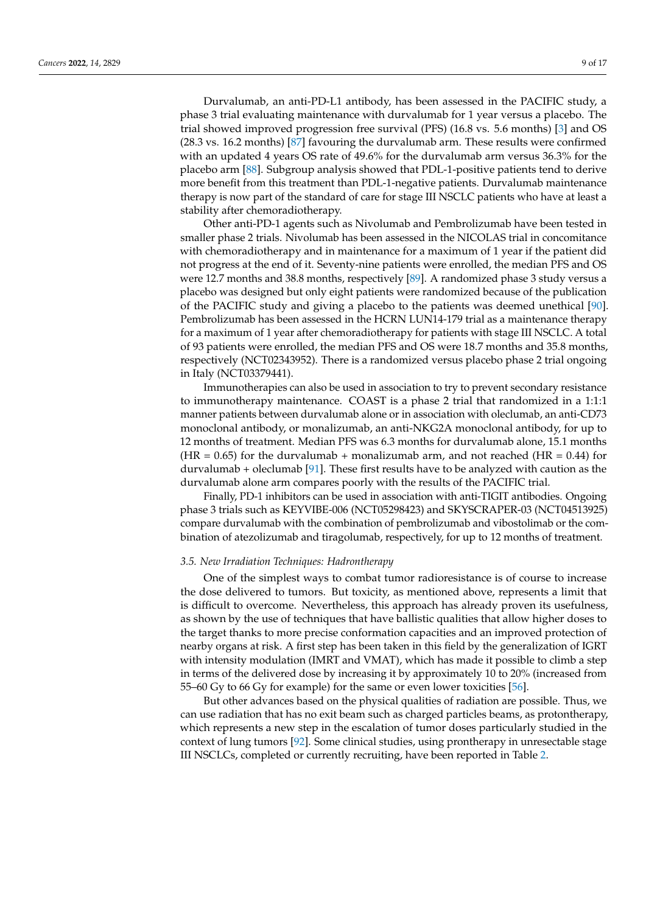Durvalumab, an anti-PD-L1 antibody, has been assessed in the PACIFIC study, a phase 3 trial evaluating maintenance with durvalumab for 1 year versus a placebo. The trial showed improved progression free survival (PFS) (16.8 vs. 5.6 months) [3] and OS (28.3 vs. 16.2 months) [87] favouring the durvalumab arm. These results were confirmed with an updated 4 years OS rate of 49.6% for the durvalumab arm versus 36.3% for the placebo arm [88]. Subgroup analysis showed that PDL-1-positive patients tend to derive more benefit from this treatment than PDL-1-negative patients. Durvalumab maintenance therapy is now part of the standard of care for stage III NSCLC patients who have at least a stability after chemoradiotherapy.

Other anti-PD-1 agents such as Nivolumab and Pembrolizumab have been tested in smaller phase 2 trials. Nivolumab has been assessed in the NICOLAS trial in concomitance with chemoradiotherapy and in maintenance for a maximum of 1 year if the patient did not progress at the end of it. Seventy-nine patients were enrolled, the median PFS and OS were 12.7 months and 38.8 months, respectively [89]. A randomized phase 3 study versus a placebo was designed but only eight patients were randomized because of the publication of the PACIFIC study and giving a placebo to the patients was deemed unethical [90]. Pembrolizumab has been assessed in the HCRN LUN14-179 trial as a maintenance therapy for a maximum of 1 year after chemoradiotherapy for patients with stage III NSCLC. A total of 93 patients were enrolled, the median PFS and OS were 18.7 months and 35.8 months, respectively (NCT02343952). There is a randomized versus placebo phase 2 trial ongoing in Italy (NCT03379441).

Immunotherapies can also be used in association to try to prevent secondary resistance to immunotherapy maintenance. COAST is a phase 2 trial that randomized in a 1:1:1 manner patients between durvalumab alone or in association with oleclumab, an anti-CD73 monoclonal antibody, or monalizumab, an anti-NKG2A monoclonal antibody, for up to 12 months of treatment. Median PFS was 6.3 months for durvalumab alone, 15.1 months  $(HR = 0.65)$  for the durvalumab + monalizumab arm, and not reached  $(HR = 0.44)$  for durvalumab + oleclumab [91]. These first results have to be analyzed with caution as the durvalumab alone arm compares poorly with the results of the PACIFIC trial.

Finally, PD-1 inhibitors can be used in association with anti-TIGIT antibodies. Ongoing phase 3 trials such as KEYVIBE-006 (NCT05298423) and SKYSCRAPER-03 (NCT04513925) compare durvalumab with the combination of pembrolizumab and vibostolimab or the combination of atezolizumab and tiragolumab, respectively, for up to 12 months of treatment.

#### *3.5. New Irradiation Techniques: Hadrontherapy*

One of the simplest ways to combat tumor radioresistance is of course to increase the dose delivered to tumors. But toxicity, as mentioned above, represents a limit that is difficult to overcome. Nevertheless, this approach has already proven its usefulness, as shown by the use of techniques that have ballistic qualities that allow higher doses to the target thanks to more precise conformation capacities and an improved protection of nearby organs at risk. A first step has been taken in this field by the generalization of IGRT with intensity modulation (IMRT and VMAT), which has made it possible to climb a step in terms of the delivered dose by increasing it by approximately 10 to 20% (increased from 55–60 Gy to 66 Gy for example) for the same or even lower toxicities [56].

But other advances based on the physical qualities of radiation are possible. Thus, we can use radiation that has no exit beam such as charged particles beams, as protontherapy, which represents a new step in the escalation of tumor doses particularly studied in the context of lung tumors [92]. Some clinical studies, using prontherapy in unresectable stage III NSCLCs, completed or currently recruiting, have been reported in Table 2.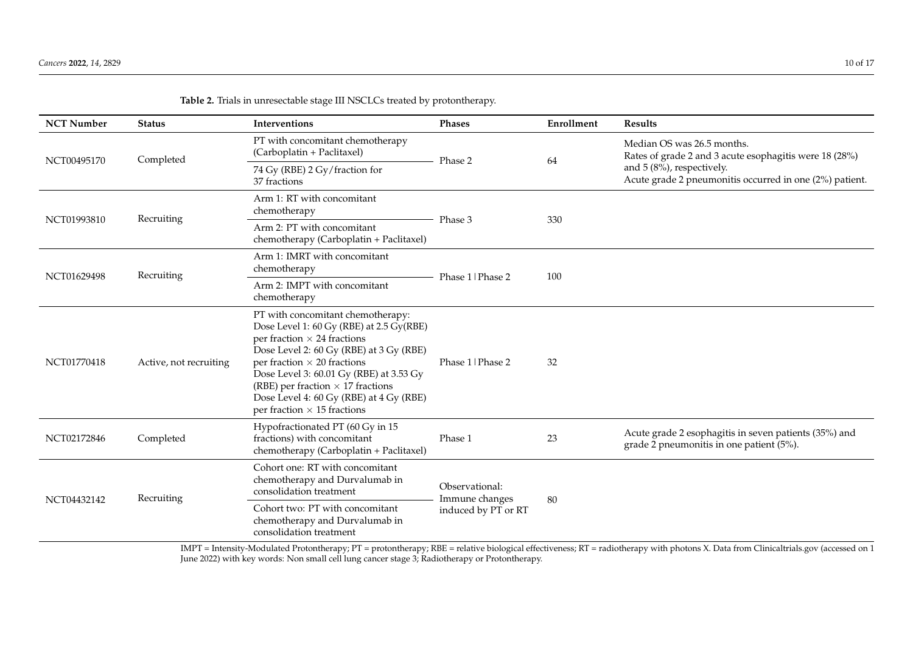| <b>NCT Number</b> | <b>Status</b>          | Interventions                                                                                                                                                                                                                                                                                                                                                                 | <b>Phases</b>                    | Enrollment | <b>Results</b>                                                                                                                                                               |  |  |
|-------------------|------------------------|-------------------------------------------------------------------------------------------------------------------------------------------------------------------------------------------------------------------------------------------------------------------------------------------------------------------------------------------------------------------------------|----------------------------------|------------|------------------------------------------------------------------------------------------------------------------------------------------------------------------------------|--|--|
| NCT00495170       | Completed              | PT with concomitant chemotherapy<br>(Carboplatin + Paclitaxel)                                                                                                                                                                                                                                                                                                                | Phase 2                          | 64         | Median OS was 26.5 months.<br>Rates of grade 2 and 3 acute esophagitis were 18 (28%)<br>and 5 (8%), respectively.<br>Acute grade 2 pneumonitis occurred in one (2%) patient. |  |  |
|                   |                        | 74 Gy (RBE) 2 Gy/fraction for<br>37 fractions                                                                                                                                                                                                                                                                                                                                 |                                  |            |                                                                                                                                                                              |  |  |
| NCT01993810       | Recruiting             | Arm 1: RT with concomitant<br>chemotherapy                                                                                                                                                                                                                                                                                                                                    |                                  |            |                                                                                                                                                                              |  |  |
|                   |                        | Arm 2: PT with concomitant<br>chemotherapy (Carboplatin + Paclitaxel)                                                                                                                                                                                                                                                                                                         | Phase 3                          | 330        |                                                                                                                                                                              |  |  |
| NCT01629498       | Recruiting             | Arm 1: IMRT with concomitant<br>chemotherapy                                                                                                                                                                                                                                                                                                                                  | Phase 1   Phase 2                | 100        |                                                                                                                                                                              |  |  |
|                   |                        | Arm 2: IMPT with concomitant<br>chemotherapy                                                                                                                                                                                                                                                                                                                                  |                                  |            |                                                                                                                                                                              |  |  |
| NCT01770418       | Active, not recruiting | PT with concomitant chemotherapy:<br>Dose Level 1: 60 Gy (RBE) at 2.5 Gy (RBE)<br>per fraction $\times$ 24 fractions<br>Dose Level 2: 60 Gy (RBE) at 3 Gy (RBE)<br>per fraction $\times$ 20 fractions<br>Dose Level 3: 60.01 Gy (RBE) at 3.53 Gy<br>(RBE) per fraction $\times$ 17 fractions<br>Dose Level 4: 60 Gy (RBE) at 4 Gy (RBE)<br>per fraction $\times$ 15 fractions | Phase 1   Phase 2                | 32         |                                                                                                                                                                              |  |  |
| NCT02172846       | Completed              | Hypofractionated PT (60 Gy in 15<br>fractions) with concomitant<br>chemotherapy (Carboplatin + Paclitaxel)                                                                                                                                                                                                                                                                    | Phase 1                          | 23         | Acute grade 2 esophagitis in seven patients (35%) and<br>grade 2 pneumonitis in one patient (5%).                                                                            |  |  |
| NCT04432142       | Recruiting             | Cohort one: RT with concomitant<br>chemotherapy and Durvalumab in<br>consolidation treatment                                                                                                                                                                                                                                                                                  | Observational:<br>Immune changes | 80         |                                                                                                                                                                              |  |  |
|                   |                        | Cohort two: PT with concomitant<br>chemotherapy and Durvalumab in<br>consolidation treatment                                                                                                                                                                                                                                                                                  | induced by PT or RT              |            |                                                                                                                                                                              |  |  |

**Table 2.** Trials in unresectable stage III NSCLCs treated by protontherapy.

IMPT = Intensity-Modulated Protontherapy; PT = protontherapy; RBE = relative biological effectiveness; RT = radiotherapy with photons X. Data from Clinicaltrials.gov (accessed on 1 June 2022) with key words: Non small cell lung cancer stage 3; Radiotherapy or Protontherapy.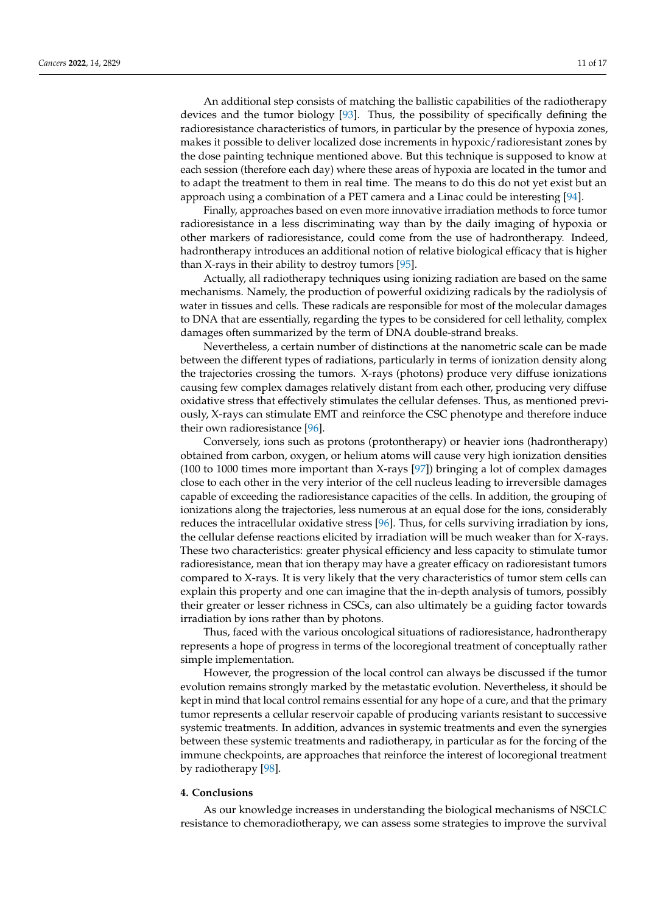An additional step consists of matching the ballistic capabilities of the radiotherapy devices and the tumor biology [93]. Thus, the possibility of specifically defining the radioresistance characteristics of tumors, in particular by the presence of hypoxia zones, makes it possible to deliver localized dose increments in hypoxic/radioresistant zones by the dose painting technique mentioned above. But this technique is supposed to know at each session (therefore each day) where these areas of hypoxia are located in the tumor and to adapt the treatment to them in real time. The means to do this do not yet exist but an approach using a combination of a PET camera and a Linac could be interesting [94].

Finally, approaches based on even more innovative irradiation methods to force tumor radioresistance in a less discriminating way than by the daily imaging of hypoxia or other markers of radioresistance, could come from the use of hadrontherapy. Indeed, hadrontherapy introduces an additional notion of relative biological efficacy that is higher than X-rays in their ability to destroy tumors [95].

Actually, all radiotherapy techniques using ionizing radiation are based on the same mechanisms. Namely, the production of powerful oxidizing radicals by the radiolysis of water in tissues and cells. These radicals are responsible for most of the molecular damages to DNA that are essentially, regarding the types to be considered for cell lethality, complex damages often summarized by the term of DNA double-strand breaks.

Nevertheless, a certain number of distinctions at the nanometric scale can be made between the different types of radiations, particularly in terms of ionization density along the trajectories crossing the tumors. X-rays (photons) produce very diffuse ionizations causing few complex damages relatively distant from each other, producing very diffuse oxidative stress that effectively stimulates the cellular defenses. Thus, as mentioned previously, X-rays can stimulate EMT and reinforce the CSC phenotype and therefore induce their own radioresistance [96].

Conversely, ions such as protons (protontherapy) or heavier ions (hadrontherapy) obtained from carbon, oxygen, or helium atoms will cause very high ionization densities (100 to 1000 times more important than X-rays [97]) bringing a lot of complex damages close to each other in the very interior of the cell nucleus leading to irreversible damages capable of exceeding the radioresistance capacities of the cells. In addition, the grouping of ionizations along the trajectories, less numerous at an equal dose for the ions, considerably reduces the intracellular oxidative stress [96]. Thus, for cells surviving irradiation by ions, the cellular defense reactions elicited by irradiation will be much weaker than for X-rays. These two characteristics: greater physical efficiency and less capacity to stimulate tumor radioresistance, mean that ion therapy may have a greater efficacy on radioresistant tumors compared to X-rays. It is very likely that the very characteristics of tumor stem cells can explain this property and one can imagine that the in-depth analysis of tumors, possibly their greater or lesser richness in CSCs, can also ultimately be a guiding factor towards irradiation by ions rather than by photons.

Thus, faced with the various oncological situations of radioresistance, hadrontherapy represents a hope of progress in terms of the locoregional treatment of conceptually rather simple implementation.

However, the progression of the local control can always be discussed if the tumor evolution remains strongly marked by the metastatic evolution. Nevertheless, it should be kept in mind that local control remains essential for any hope of a cure, and that the primary tumor represents a cellular reservoir capable of producing variants resistant to successive systemic treatments. In addition, advances in systemic treatments and even the synergies between these systemic treatments and radiotherapy, in particular as for the forcing of the immune checkpoints, are approaches that reinforce the interest of locoregional treatment by radiotherapy [98].

#### **4. Conclusions**

As our knowledge increases in understanding the biological mechanisms of NSCLC resistance to chemoradiotherapy, we can assess some strategies to improve the survival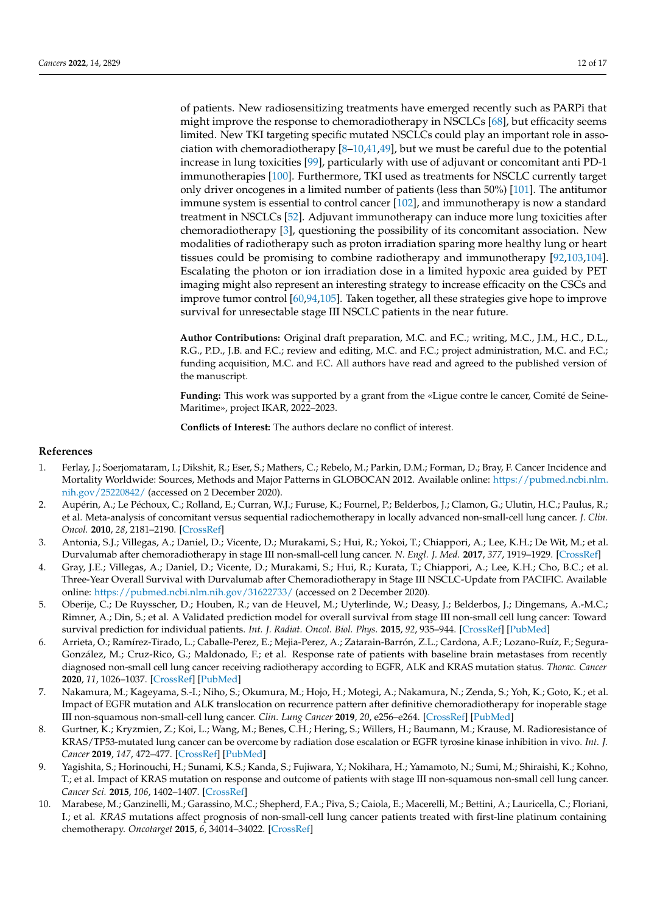of patients. New radiosensitizing treatments have emerged recently such as PARPi that might improve the response to chemoradiotherapy in NSCLCs [68], but efficacity seems limited. New TKI targeting specific mutated NSCLCs could play an important role in association with chemoradiotherapy  $[8-10,41,49]$ , but we must be careful due to the potential increase in lung toxicities [99], particularly with use of adjuvant or concomitant anti PD-1 immunotherapies [100]. Furthermore, TKI used as treatments for NSCLC currently target only driver oncogenes in a limited number of patients (less than 50%) [101]. The antitumor immune system is essential to control cancer [102], and immunotherapy is now a standard treatment in NSCLCs [52]. Adjuvant immunotherapy can induce more lung toxicities after chemoradiotherapy [3], questioning the possibility of its concomitant association. New modalities of radiotherapy such as proton irradiation sparing more healthy lung or heart tissues could be promising to combine radiotherapy and immunotherapy [92,103,104]. Escalating the photon or ion irradiation dose in a limited hypoxic area guided by PET imaging might also represent an interesting strategy to increase efficacity on the CSCs and improve tumor control [60,94,105]. Taken together, all these strategies give hope to improve survival for unresectable stage III NSCLC patients in the near future.

**Author Contributions:** Original draft preparation, M.C. and F.C.; writing, M.C., J.M., H.C., D.L., R.G., P.D., J.B. and F.C.; review and editing, M.C. and F.C.; project administration, M.C. and F.C.; funding acquisition, M.C. and F.C. All authors have read and agreed to the published version of the manuscript.

**Funding:** This work was supported by a grant from the «Ligue contre le cancer, Comité de Seine-Maritime», project IKAR, 2022–2023.

**Conflicts of Interest:** The authors declare no conflict of interest.

#### **References**

- 1. Ferlay, J.; Soerjomataram, I.; Dikshit, R.; Eser, S.; Mathers, C.; Rebelo, M.; Parkin, D.M.; Forman, D.; Bray, F. Cancer Incidence and Mortality Worldwide: Sources, Methods and Major Patterns in GLOBOCAN 2012. Available online: [https://pubmed.ncbi.nlm.](https://pubmed.ncbi.nlm.nih.gov/25220842/) [nih.gov/25220842/](https://pubmed.ncbi.nlm.nih.gov/25220842/) (accessed on 2 December 2020).
- 2. Aupérin, A.; Le Péchoux, C.; Rolland, E.; Curran, W.J.; Furuse, K.; Fournel, P.; Belderbos, J.; Clamon, G.; Ulutin, H.C.; Paulus, R.; et al. Meta-analysis of concomitant versus sequential radiochemotherapy in locally advanced non-small-cell lung cancer. *J. Clin. Oncol.* **2010**, *28*, 2181–2190. [\[CrossRef\]](http://doi.org/10.1200/JCO.2009.26.2543)
- 3. Antonia, S.J.; Villegas, A.; Daniel, D.; Vicente, D.; Murakami, S.; Hui, R.; Yokoi, T.; Chiappori, A.; Lee, K.H.; De Wit, M.; et al. Durvalumab after chemoradiotherapy in stage III non-small-cell lung cancer. *N. Engl. J. Med.* **2017**, *377*, 1919–1929. [\[CrossRef\]](http://doi.org/10.1056/NEJMoa1709937)
- 4. Gray, J.E.; Villegas, A.; Daniel, D.; Vicente, D.; Murakami, S.; Hui, R.; Kurata, T.; Chiappori, A.; Lee, K.H.; Cho, B.C.; et al. Three-Year Overall Survival with Durvalumab after Chemoradiotherapy in Stage III NSCLC-Update from PACIFIC. Available online: <https://pubmed.ncbi.nlm.nih.gov/31622733/> (accessed on 2 December 2020).
- 5. Oberije, C.; De Ruysscher, D.; Houben, R.; van de Heuvel, M.; Uyterlinde, W.; Deasy, J.; Belderbos, J.; Dingemans, A.-M.C.; Rimner, A.; Din, S.; et al. A Validated prediction model for overall survival from stage III non-small cell lung cancer: Toward survival prediction for individual patients. *Int. J. Radiat. Oncol. Biol. Phys.* **2015**, *92*, 935–944. [\[CrossRef\]](http://doi.org/10.1016/j.ijrobp.2015.02.048) [\[PubMed\]](http://www.ncbi.nlm.nih.gov/pubmed/25936599)
- 6. Arrieta, O.; Ramírez-Tirado, L.; Caballe-Perez, E.; Mejia-Perez, A.; Zatarain-Barrón, Z.L.; Cardona, A.F.; Lozano-Ruíz, F.; Segura-González, M.; Cruz-Rico, G.; Maldonado, F.; et al. Response rate of patients with baseline brain metastases from recently diagnosed non-small cell lung cancer receiving radiotherapy according to EGFR, ALK and KRAS mutation status. *Thorac. Cancer* **2020**, *11*, 1026–1037. [\[CrossRef\]](http://doi.org/10.1111/1759-7714.13359) [\[PubMed\]](http://www.ncbi.nlm.nih.gov/pubmed/32072746)
- 7. Nakamura, M.; Kageyama, S.-I.; Niho, S.; Okumura, M.; Hojo, H.; Motegi, A.; Nakamura, N.; Zenda, S.; Yoh, K.; Goto, K.; et al. Impact of EGFR mutation and ALK translocation on recurrence pattern after definitive chemoradiotherapy for inoperable stage III non-squamous non-small-cell lung cancer. *Clin. Lung Cancer* **2019**, *20*, e256–e264. [\[CrossRef\]](http://doi.org/10.1016/j.cllc.2019.02.021) [\[PubMed\]](http://www.ncbi.nlm.nih.gov/pubmed/30926356)
- 8. Gurtner, K.; Kryzmien, Z.; Koi, L.; Wang, M.; Benes, C.H.; Hering, S.; Willers, H.; Baumann, M.; Krause, M. Radioresistance of KRAS/TP53-mutated lung cancer can be overcome by radiation dose escalation or EGFR tyrosine kinase inhibition in vivo. *Int. J. Cancer* **2019**, *147*, 472–477. [\[CrossRef\]](http://doi.org/10.1002/ijc.32598) [\[PubMed\]](http://www.ncbi.nlm.nih.gov/pubmed/31359406)
- 9. Yagishita, S.; Horinouchi, H.; Sunami, K.S.; Kanda, S.; Fujiwara, Y.; Nokihara, H.; Yamamoto, N.; Sumi, M.; Shiraishi, K.; Kohno, T.; et al. Impact of KRAS mutation on response and outcome of patients with stage III non-squamous non-small cell lung cancer. *Cancer Sci.* **2015**, *106*, 1402–1407. [\[CrossRef\]](http://doi.org/10.1111/cas.12740)
- 10. Marabese, M.; Ganzinelli, M.; Garassino, M.C.; Shepherd, F.A.; Piva, S.; Caiola, E.; Macerelli, M.; Bettini, A.; Lauricella, C.; Floriani, I.; et al. *KRAS* mutations affect prognosis of non-small-cell lung cancer patients treated with first-line platinum containing chemotherapy. *Oncotarget* **2015**, *6*, 34014–34022. [\[CrossRef\]](http://doi.org/10.18632/oncotarget.5607)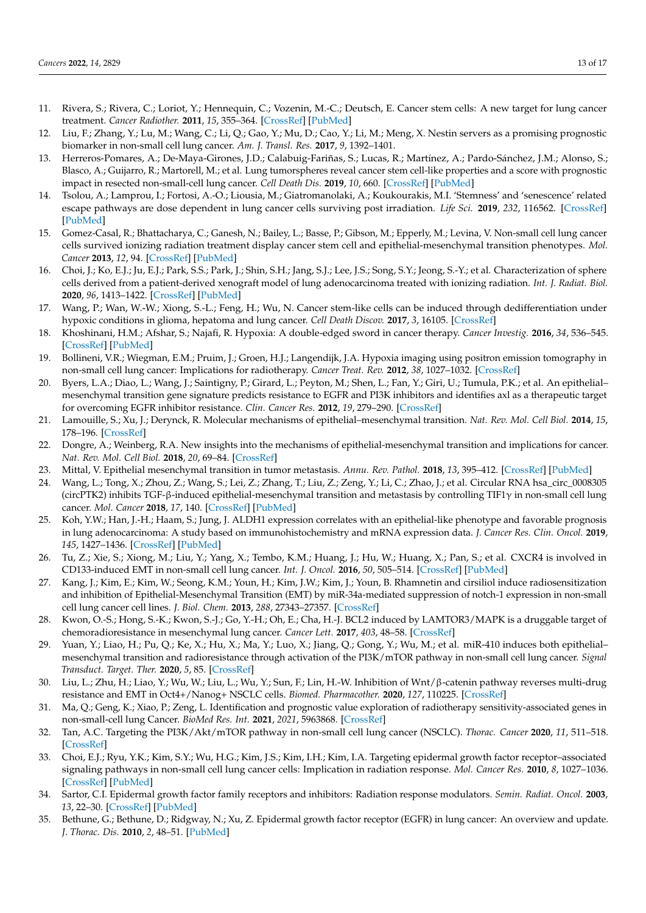- 11. Rivera, S.; Rivera, C.; Loriot, Y.; Hennequin, C.; Vozenin, M.-C.; Deutsch, E. Cancer stem cells: A new target for lung cancer treatment. *Cancer Radiother.* **2011**, *15*, 355–364. [\[CrossRef\]](http://doi.org/10.1016/j.canrad.2011.03.003) [\[PubMed\]](http://www.ncbi.nlm.nih.gov/pubmed/21664165)
- 12. Liu, F.; Zhang, Y.; Lu, M.; Wang, C.; Li, Q.; Gao, Y.; Mu, D.; Cao, Y.; Li, M.; Meng, X. Nestin servers as a promising prognostic biomarker in non-small cell lung cancer. *Am. J. Transl. Res.* **2017**, *9*, 1392–1401.
- 13. Herreros-Pomares, A.; De-Maya-Girones, J.D.; Calabuig-Fariñas, S.; Lucas, R.; Martínez, A.; Pardo-Sánchez, J.M.; Alonso, S.; Blasco, A.; Guijarro, R.; Martorell, M.; et al. Lung tumorspheres reveal cancer stem cell-like properties and a score with prognostic impact in resected non-small-cell lung cancer. *Cell Death Dis.* **2019**, *10*, 660. [\[CrossRef\]](http://doi.org/10.1038/s41419-019-1898-1) [\[PubMed\]](http://www.ncbi.nlm.nih.gov/pubmed/31506430)
- 14. Tsolou, A.; Lamprou, I.; Fortosi, A.-O.; Liousia, M.; Giatromanolaki, A.; Koukourakis, M.I. 'Stemness' and 'senescence' related escape pathways are dose dependent in lung cancer cells surviving post irradiation. *Life Sci.* **2019**, *232*, 116562. [\[CrossRef\]](http://doi.org/10.1016/j.lfs.2019.116562) [\[PubMed\]](http://www.ncbi.nlm.nih.gov/pubmed/31201845)
- 15. Gomez-Casal, R.; Bhattacharya, C.; Ganesh, N.; Bailey, L.; Basse, P.; Gibson, M.; Epperly, M.; Levina, V. Non-small cell lung cancer cells survived ionizing radiation treatment display cancer stem cell and epithelial-mesenchymal transition phenotypes. *Mol. Cancer* **2013**, *12*, 94. [\[CrossRef\]](http://doi.org/10.1186/1476-4598-12-94) [\[PubMed\]](http://www.ncbi.nlm.nih.gov/pubmed/23947765)
- 16. Choi, J.; Ko, E.J.; Ju, E.J.; Park, S.S.; Park, J.; Shin, S.H.; Jang, S.J.; Lee, J.S.; Song, S.Y.; Jeong, S.-Y.; et al. Characterization of sphere cells derived from a patient-derived xenograft model of lung adenocarcinoma treated with ionizing radiation. *Int. J. Radiat. Biol.* **2020**, *96*, 1413–1422. [\[CrossRef\]](http://doi.org/10.1080/09553002.2020.1793019) [\[PubMed\]](http://www.ncbi.nlm.nih.gov/pubmed/32856972)
- 17. Wang, P.; Wan, W.-W.; Xiong, S.-L.; Feng, H.; Wu, N. Cancer stem-like cells can be induced through dedifferentiation under hypoxic conditions in glioma, hepatoma and lung cancer. *Cell Death Discov.* **2017**, *3*, 16105. [\[CrossRef\]](http://doi.org/10.1038/cddiscovery.2016.105)
- 18. Khoshinani, H.M.; Afshar, S.; Najafi, R. Hypoxia: A double-edged sword in cancer therapy. *Cancer Investig.* **2016**, *34*, 536–545. [\[CrossRef\]](http://doi.org/10.1080/07357907.2016.1245317) [\[PubMed\]](http://www.ncbi.nlm.nih.gov/pubmed/27824512)
- 19. Bollineni, V.R.; Wiegman, E.M.; Pruim, J.; Groen, H.J.; Langendijk, J.A. Hypoxia imaging using positron emission tomography in non-small cell lung cancer: Implications for radiotherapy. *Cancer Treat. Rev.* **2012**, *38*, 1027–1032. [\[CrossRef\]](http://doi.org/10.1016/j.ctrv.2012.04.003)
- 20. Byers, L.A.; Diao, L.; Wang, J.; Saintigny, P.; Girard, L.; Peyton, M.; Shen, L.; Fan, Y.; Giri, U.; Tumula, P.K.; et al. An epithelial– mesenchymal transition gene signature predicts resistance to EGFR and PI3K inhibitors and identifies axl as a therapeutic target for overcoming EGFR inhibitor resistance. *Clin. Cancer Res.* **2012**, *19*, 279–290. [\[CrossRef\]](http://doi.org/10.1158/1078-0432.CCR-12-1558)
- 21. Lamouille, S.; Xu, J.; Derynck, R. Molecular mechanisms of epithelial–mesenchymal transition. *Nat. Rev. Mol. Cell Biol.* **2014**, *15*, 178–196. [\[CrossRef\]](http://doi.org/10.1038/nrm3758)
- 22. Dongre, A.; Weinberg, R.A. New insights into the mechanisms of epithelial-mesenchymal transition and implications for cancer. *Nat. Rev. Mol. Cell Biol.* **2018**, *20*, 69–84. [\[CrossRef\]](http://doi.org/10.1038/s41580-018-0080-4)
- 23. Mittal, V. Epithelial mesenchymal transition in tumor metastasis. *Annu. Rev. Pathol.* **2018**, *13*, 395–412. [\[CrossRef\]](http://doi.org/10.1146/annurev-pathol-020117-043854) [\[PubMed\]](http://www.ncbi.nlm.nih.gov/pubmed/29414248)
- 24. Wang, L.; Tong, X.; Zhou, Z.; Wang, S.; Lei, Z.; Zhang, T.; Liu, Z.; Zeng, Y.; Li, C.; Zhao, J.; et al. Circular RNA hsa\_circ\_0008305 (circPTK2) inhibits TGF-β-induced epithelial-mesenchymal transition and metastasis by controlling TIF1 $\gamma$  in non-small cell lung cancer. *Mol. Cancer* **2018**, *17*, 140. [\[CrossRef\]](http://doi.org/10.1186/s12943-018-0889-7) [\[PubMed\]](http://www.ncbi.nlm.nih.gov/pubmed/30261900)
- 25. Koh, Y.W.; Han, J.-H.; Haam, S.; Jung, J. ALDH1 expression correlates with an epithelial-like phenotype and favorable prognosis in lung adenocarcinoma: A study based on immunohistochemistry and mRNA expression data. *J. Cancer Res. Clin. Oncol.* **2019**, *145*, 1427–1436. [\[CrossRef\]](http://doi.org/10.1007/s00432-019-02906-2) [\[PubMed\]](http://www.ncbi.nlm.nih.gov/pubmed/30923946)
- 26. Tu, Z.; Xie, S.; Xiong, M.; Liu, Y.; Yang, X.; Tembo, K.M.; Huang, J.; Hu, W.; Huang, X.; Pan, S.; et al. CXCR4 is involved in CD133-induced EMT in non-small cell lung cancer. *Int. J. Oncol.* **2016**, *50*, 505–514. [\[CrossRef\]](http://doi.org/10.3892/ijo.2016.3812) [\[PubMed\]](http://www.ncbi.nlm.nih.gov/pubmed/28000861)
- 27. Kang, J.; Kim, E.; Kim, W.; Seong, K.M.; Youn, H.; Kim, J.W.; Kim, J.; Youn, B. Rhamnetin and cirsiliol induce radiosensitization and inhibition of Epithelial-Mesenchymal Transition (EMT) by miR-34a-mediated suppression of notch-1 expression in non-small cell lung cancer cell lines. *J. Biol. Chem.* **2013**, *288*, 27343–27357. [\[CrossRef\]](http://doi.org/10.1074/jbc.M113.490482)
- 28. Kwon, O.-S.; Hong, S.-K.; Kwon, S.-J.; Go, Y.-H.; Oh, E.; Cha, H.-J. BCL2 induced by LAMTOR3/MAPK is a druggable target of chemoradioresistance in mesenchymal lung cancer. *Cancer Lett.* **2017**, *403*, 48–58. [\[CrossRef\]](http://doi.org/10.1016/j.canlet.2017.05.019)
- 29. Yuan, Y.; Liao, H.; Pu, Q.; Ke, X.; Hu, X.; Ma, Y.; Luo, X.; Jiang, Q.; Gong, Y.; Wu, M.; et al. miR-410 induces both epithelial– mesenchymal transition and radioresistance through activation of the PI3K/mTOR pathway in non-small cell lung cancer. *Signal Transduct. Target. Ther.* **2020**, *5*, 85. [\[CrossRef\]](http://doi.org/10.1038/s41392-020-0182-2)
- 30. Liu, L.; Zhu, H.; Liao, Y.; Wu, W.; Liu, L.; Wu, Y.; Sun, F.; Lin, H.-W. Inhibition of Wnt/β-catenin pathway reverses multi-drug resistance and EMT in Oct4+/Nanog+ NSCLC cells. *Biomed. Pharmacother.* **2020**, *127*, 110225. [\[CrossRef\]](http://doi.org/10.1016/j.biopha.2020.110225)
- 31. Ma, Q.; Geng, K.; Xiao, P.; Zeng, L. Identification and prognostic value exploration of radiotherapy sensitivity-associated genes in non-small-cell lung Cancer. *BioMed Res. Int.* **2021**, *2021*, 5963868. [\[CrossRef\]](http://doi.org/10.1155/2021/5963868)
- 32. Tan, A.C. Targeting the PI3K/Akt/mTOR pathway in non-small cell lung cancer (NSCLC). *Thorac. Cancer* **2020**, *11*, 511–518. [\[CrossRef\]](http://doi.org/10.1111/1759-7714.13328)
- 33. Choi, E.J.; Ryu, Y.K.; Kim, S.Y.; Wu, H.G.; Kim, J.S.; Kim, I.H.; Kim, I.A. Targeting epidermal growth factor receptor–associated signaling pathways in non-small cell lung cancer cells: Implication in radiation response. *Mol. Cancer Res.* **2010**, *8*, 1027–1036. [\[CrossRef\]](http://doi.org/10.1158/1541-7786.MCR-09-0507) [\[PubMed\]](http://www.ncbi.nlm.nih.gov/pubmed/20587532)
- 34. Sartor, C.I. Epidermal growth factor family receptors and inhibitors: Radiation response modulators. *Semin. Radiat. Oncol.* **2003**, *13*, 22–30. [\[CrossRef\]](http://doi.org/10.1053/srao.2003.50003) [\[PubMed\]](http://www.ncbi.nlm.nih.gov/pubmed/12520461)
- 35. Bethune, G.; Bethune, D.; Ridgway, N.; Xu, Z. Epidermal growth factor receptor (EGFR) in lung cancer: An overview and update. *J. Thorac. Dis.* **2010**, *2*, 48–51. [\[PubMed\]](http://www.ncbi.nlm.nih.gov/pubmed/22263017)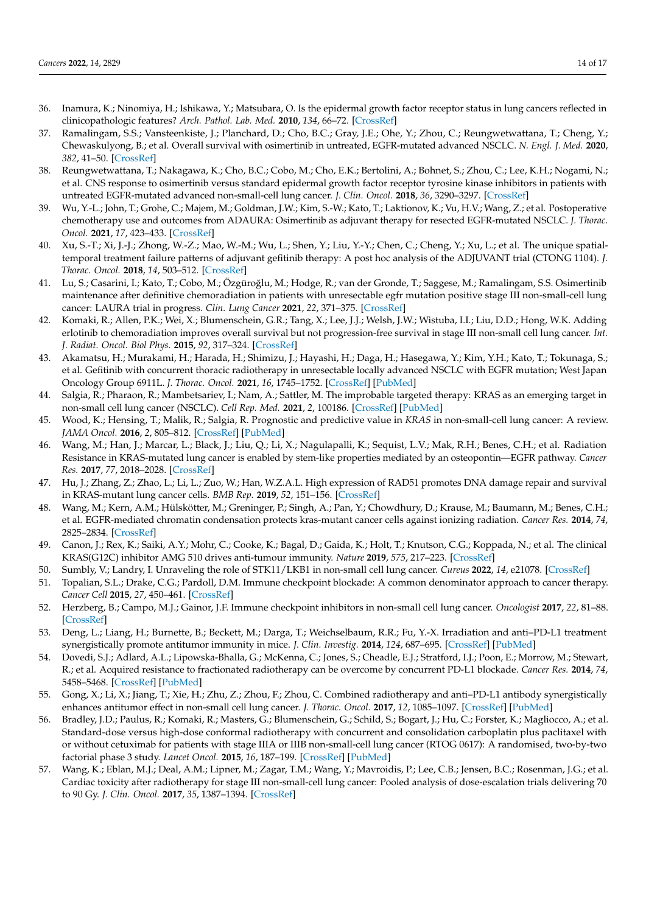- 36. Inamura, K.; Ninomiya, H.; Ishikawa, Y.; Matsubara, O. Is the epidermal growth factor receptor status in lung cancers reflected in clinicopathologic features? *Arch. Pathol. Lab. Med.* **2010**, *134*, 66–72. [\[CrossRef\]](http://doi.org/10.5858/2008-0586-RAR1.1)
- 37. Ramalingam, S.S.; Vansteenkiste, J.; Planchard, D.; Cho, B.C.; Gray, J.E.; Ohe, Y.; Zhou, C.; Reungwetwattana, T.; Cheng, Y.; Chewaskulyong, B.; et al. Overall survival with osimertinib in untreated, EGFR-mutated advanced NSCLC. *N. Engl. J. Med.* **2020**, *382*, 41–50. [\[CrossRef\]](http://doi.org/10.1056/NEJMoa1913662)
- 38. Reungwetwattana, T.; Nakagawa, K.; Cho, B.C.; Cobo, M.; Cho, E.K.; Bertolini, A.; Bohnet, S.; Zhou, C.; Lee, K.H.; Nogami, N.; et al. CNS response to osimertinib versus standard epidermal growth factor receptor tyrosine kinase inhibitors in patients with untreated EGFR-mutated advanced non-small-cell lung cancer. *J. Clin. Oncol.* **2018**, *36*, 3290–3297. [\[CrossRef\]](http://doi.org/10.1200/JCO.2018.78.3118)
- 39. Wu, Y.-L.; John, T.; Grohe, C.; Majem, M.; Goldman, J.W.; Kim, S.-W.; Kato, T.; Laktionov, K.; Vu, H.V.; Wang, Z.; et al. Postoperative chemotherapy use and outcomes from ADAURA: Osimertinib as adjuvant therapy for resected EGFR-mutated NSCLC. *J. Thorac. Oncol.* **2021**, *17*, 423–433. [\[CrossRef\]](http://doi.org/10.1016/j.jtho.2021.10.014)
- 40. Xu, S.-T.; Xi, J.-J.; Zhong, W.-Z.; Mao, W.-M.; Wu, L.; Shen, Y.; Liu, Y.-Y.; Chen, C.; Cheng, Y.; Xu, L.; et al. The unique spatialtemporal treatment failure patterns of adjuvant gefitinib therapy: A post hoc analysis of the ADJUVANT trial (CTONG 1104). *J. Thorac. Oncol.* **2018**, *14*, 503–512. [\[CrossRef\]](http://doi.org/10.1016/j.jtho.2018.11.020)
- 41. Lu, S.; Casarini, I.; Kato, T.; Cobo, M.; Özgüroğlu, M.; Hodge, R.; van der Gronde, T.; Saggese, M.; Ramalingam, S.S. Osimertinib maintenance after definitive chemoradiation in patients with unresectable egfr mutation positive stage III non-small-cell lung cancer: LAURA trial in progress. *Clin. Lung Cancer* **2021**, *22*, 371–375. [\[CrossRef\]](http://doi.org/10.1016/j.cllc.2020.11.004)
- 42. Komaki, R.; Allen, P.K.; Wei, X.; Blumenschein, G.R.; Tang, X.; Lee, J.J.; Welsh, J.W.; Wistuba, I.I.; Liu, D.D.; Hong, W.K. Adding erlotinib to chemoradiation improves overall survival but not progression-free survival in stage III non-small cell lung cancer. *Int. J. Radiat. Oncol. Biol Phys.* **2015**, *92*, 317–324. [\[CrossRef\]](http://doi.org/10.1016/j.ijrobp.2015.02.005)
- 43. Akamatsu, H.; Murakami, H.; Harada, H.; Shimizu, J.; Hayashi, H.; Daga, H.; Hasegawa, Y.; Kim, Y.H.; Kato, T.; Tokunaga, S.; et al. Gefitinib with concurrent thoracic radiotherapy in unresectable locally advanced NSCLC with EGFR mutation; West Japan Oncology Group 6911L. *J. Thorac. Oncol.* **2021**, *16*, 1745–1752. [\[CrossRef\]](http://doi.org/10.1016/j.jtho.2021.05.019) [\[PubMed\]](http://www.ncbi.nlm.nih.gov/pubmed/34116229)
- 44. Salgia, R.; Pharaon, R.; Mambetsariev, I.; Nam, A.; Sattler, M. The improbable targeted therapy: KRAS as an emerging target in non-small cell lung cancer (NSCLC). *Cell Rep. Med.* **2021**, *2*, 100186. [\[CrossRef\]](http://doi.org/10.1016/j.xcrm.2020.100186) [\[PubMed\]](http://www.ncbi.nlm.nih.gov/pubmed/33521700)
- 45. Wood, K.; Hensing, T.; Malik, R.; Salgia, R. Prognostic and predictive value in *KRAS* in non-small-cell lung cancer: A review. *JAMA Oncol.* **2016**, *2*, 805–812. [\[CrossRef\]](http://doi.org/10.1001/jamaoncol.2016.0405) [\[PubMed\]](http://www.ncbi.nlm.nih.gov/pubmed/27100819)
- 46. Wang, M.; Han, J.; Marcar, L.; Black, J.; Liu, Q.; Li, X.; Nagulapalli, K.; Sequist, L.V.; Mak, R.H.; Benes, C.H.; et al. Radiation Resistance in KRAS-mutated lung cancer is enabled by stem-like properties mediated by an osteopontin—EGFR pathway. *Cancer Res.* **2017**, *77*, 2018–2028. [\[CrossRef\]](http://doi.org/10.1158/0008-5472.CAN-16-0808)
- 47. Hu, J.; Zhang, Z.; Zhao, L.; Li, L.; Zuo, W.; Han, W.Z.A.L. High expression of RAD51 promotes DNA damage repair and survival in KRAS-mutant lung cancer cells. *BMB Rep.* **2019**, *52*, 151–156. [\[CrossRef\]](http://doi.org/10.5483/BMBRep.2019.52.2.213)
- 48. Wang, M.; Kern, A.M.; Hülskötter, M.; Greninger, P.; Singh, A.; Pan, Y.; Chowdhury, D.; Krause, M.; Baumann, M.; Benes, C.H.; et al. EGFR-mediated chromatin condensation protects kras-mutant cancer cells against ionizing radiation. *Cancer Res.* **2014**, *74*, 2825–2834. [\[CrossRef\]](http://doi.org/10.1158/0008-5472.CAN-13-3157)
- 49. Canon, J.; Rex, K.; Saiki, A.Y.; Mohr, C.; Cooke, K.; Bagal, D.; Gaida, K.; Holt, T.; Knutson, C.G.; Koppada, N.; et al. The clinical KRAS(G12C) inhibitor AMG 510 drives anti-tumour immunity. *Nature* **2019**, *575*, 217–223. [\[CrossRef\]](http://doi.org/10.1038/s41586-019-1694-1)
- 50. Sumbly, V.; Landry, I. Unraveling the role of STK11/LKB1 in non-small cell lung cancer. *Cureus* **2022**, *14*, e21078. [\[CrossRef\]](http://doi.org/10.7759/cureus.21078)
- 51. Topalian, S.L.; Drake, C.G.; Pardoll, D.M. Immune checkpoint blockade: A common denominator approach to cancer therapy. *Cancer Cell* **2015**, *27*, 450–461. [\[CrossRef\]](http://doi.org/10.1016/j.ccell.2015.03.001)
- 52. Herzberg, B.; Campo, M.J.; Gainor, J.F. Immune checkpoint inhibitors in non-small cell lung cancer. *Oncologist* **2017**, *22*, 81–88. [\[CrossRef\]](http://doi.org/10.1634/theoncologist.2016-0189)
- 53. Deng, L.; Liang, H.; Burnette, B.; Beckett, M.; Darga, T.; Weichselbaum, R.R.; Fu, Y.-X. Irradiation and anti–PD-L1 treatment synergistically promote antitumor immunity in mice. *J. Clin. Investig.* **2014**, *124*, 687–695. [\[CrossRef\]](http://doi.org/10.1172/JCI67313) [\[PubMed\]](http://www.ncbi.nlm.nih.gov/pubmed/24382348)
- 54. Dovedi, S.J.; Adlard, A.L.; Lipowska-Bhalla, G.; McKenna, C.; Jones, S.; Cheadle, E.J.; Stratford, I.J.; Poon, E.; Morrow, M.; Stewart, R.; et al. Acquired resistance to fractionated radiotherapy can be overcome by concurrent PD-L1 blockade. *Cancer Res.* **2014**, *74*, 5458–5468. [\[CrossRef\]](http://doi.org/10.1158/0008-5472.CAN-14-1258) [\[PubMed\]](http://www.ncbi.nlm.nih.gov/pubmed/25274032)
- 55. Gong, X.; Li, X.; Jiang, T.; Xie, H.; Zhu, Z.; Zhou, F.; Zhou, C. Combined radiotherapy and anti–PD-L1 antibody synergistically enhances antitumor effect in non-small cell lung cancer. *J. Thorac. Oncol.* **2017**, *12*, 1085–1097. [\[CrossRef\]](http://doi.org/10.1016/j.jtho.2017.04.014) [\[PubMed\]](http://www.ncbi.nlm.nih.gov/pubmed/28478231)
- 56. Bradley, J.D.; Paulus, R.; Komaki, R.; Masters, G.; Blumenschein, G.; Schild, S.; Bogart, J.; Hu, C.; Forster, K.; Magliocco, A.; et al. Standard-dose versus high-dose conformal radiotherapy with concurrent and consolidation carboplatin plus paclitaxel with or without cetuximab for patients with stage IIIA or IIIB non-small-cell lung cancer (RTOG 0617): A randomised, two-by-two factorial phase 3 study. *Lancet Oncol.* **2015**, *16*, 187–199. [\[CrossRef\]](http://doi.org/10.1016/s1470-2045(14)71207-0) [\[PubMed\]](http://www.ncbi.nlm.nih.gov/pubmed/25601342)
- 57. Wang, K.; Eblan, M.J.; Deal, A.M.; Lipner, M.; Zagar, T.M.; Wang, Y.; Mavroidis, P.; Lee, C.B.; Jensen, B.C.; Rosenman, J.G.; et al. Cardiac toxicity after radiotherapy for stage III non-small-cell lung cancer: Pooled analysis of dose-escalation trials delivering 70 to 90 Gy. *J. Clin. Oncol.* **2017**, *35*, 1387–1394. [\[CrossRef\]](http://doi.org/10.1200/JCO.2016.70.0229)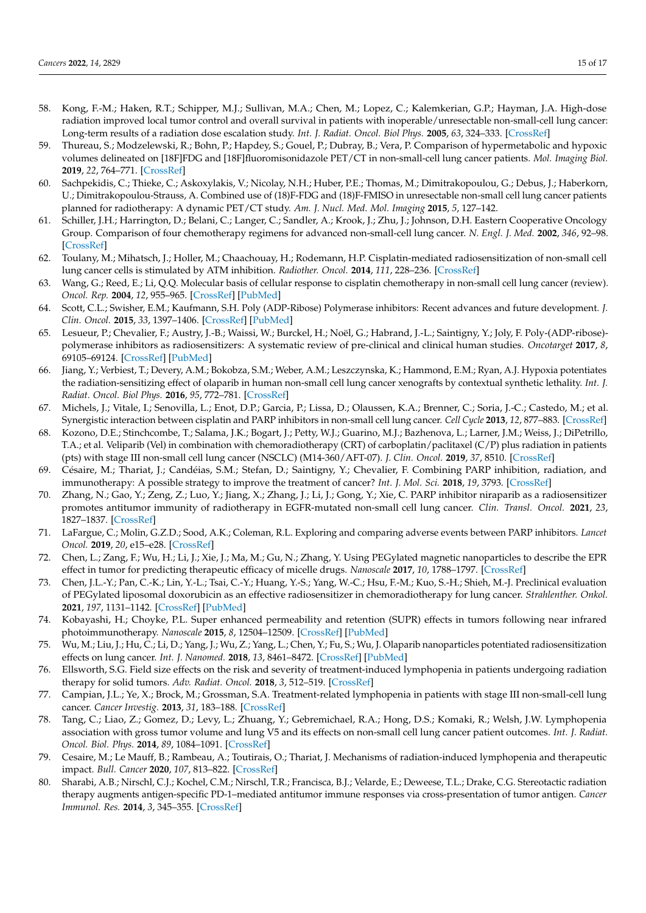- 58. Kong, F.-M.; Haken, R.T.; Schipper, M.J.; Sullivan, M.A.; Chen, M.; Lopez, C.; Kalemkerian, G.P.; Hayman, J.A. High-dose radiation improved local tumor control and overall survival in patients with inoperable/unresectable non-small-cell lung cancer: Long-term results of a radiation dose escalation study. *Int. J. Radiat. Oncol. Biol Phys.* **2005**, *63*, 324–333. [\[CrossRef\]](http://doi.org/10.1016/j.ijrobp.2005.02.010)
- 59. Thureau, S.; Modzelewski, R.; Bohn, P.; Hapdey, S.; Gouel, P.; Dubray, B.; Vera, P. Comparison of hypermetabolic and hypoxic volumes delineated on [18F]FDG and [18F]fluoromisonidazole PET/CT in non-small-cell lung cancer patients. *Mol. Imaging Biol.* **2019**, *22*, 764–771. [\[CrossRef\]](http://doi.org/10.1007/s11307-019-01422-6)
- 60. Sachpekidis, C.; Thieke, C.; Askoxylakis, V.; Nicolay, N.H.; Huber, P.E.; Thomas, M.; Dimitrakopoulou, G.; Debus, J.; Haberkorn, U.; Dimitrakopoulou-Strauss, A. Combined use of (18)F-FDG and (18)F-FMISO in unresectable non-small cell lung cancer patients planned for radiotherapy: A dynamic PET/CT study. *Am. J. Nucl. Med. Mol. Imaging* **2015**, *5*, 127–142.
- 61. Schiller, J.H.; Harrington, D.; Belani, C.; Langer, C.; Sandler, A.; Krook, J.; Zhu, J.; Johnson, D.H. Eastern Cooperative Oncology Group. Comparison of four chemotherapy regimens for advanced non-small-cell lung cancer. *N. Engl. J. Med.* **2002**, *346*, 92–98. [\[CrossRef\]](http://doi.org/10.1056/NEJMoa011954)
- 62. Toulany, M.; Mihatsch, J.; Holler, M.; Chaachouay, H.; Rodemann, H.P. Cisplatin-mediated radiosensitization of non-small cell lung cancer cells is stimulated by ATM inhibition. *Radiother. Oncol.* **2014**, *111*, 228–236. [\[CrossRef\]](http://doi.org/10.1016/j.radonc.2014.04.001)
- 63. Wang, G.; Reed, E.; Li, Q.Q. Molecular basis of cellular response to cisplatin chemotherapy in non-small cell lung cancer (review). *Oncol. Rep.* **2004**, *12*, 955–965. [\[CrossRef\]](http://doi.org/10.3892/or.12.5.955) [\[PubMed\]](http://www.ncbi.nlm.nih.gov/pubmed/15492778)
- 64. Scott, C.L.; Swisher, E.M.; Kaufmann, S.H. Poly (ADP-Ribose) Polymerase inhibitors: Recent advances and future development. *J. Clin. Oncol.* **2015**, *33*, 1397–1406. [\[CrossRef\]](http://doi.org/10.1200/JCO.2014.58.8848) [\[PubMed\]](http://www.ncbi.nlm.nih.gov/pubmed/25779564)
- 65. Lesueur, P.; Chevalier, F.; Austry, J.-B.; Waissi, W.; Burckel, H.; Noël, G.; Habrand, J.-L.; Saintigny, Y.; Joly, F. Poly-(ADP-ribose) polymerase inhibitors as radiosensitizers: A systematic review of pre-clinical and clinical human studies. *Oncotarget* **2017**, *8*, 69105–69124. [\[CrossRef\]](http://doi.org/10.18632/oncotarget.19079) [\[PubMed\]](http://www.ncbi.nlm.nih.gov/pubmed/28978184)
- 66. Jiang, Y.; Verbiest, T.; Devery, A.M.; Bokobza, S.M.; Weber, A.M.; Leszczynska, K.; Hammond, E.M.; Ryan, A.J. Hypoxia potentiates the radiation-sensitizing effect of olaparib in human non-small cell lung cancer xenografts by contextual synthetic lethality. *Int. J. Radiat. Oncol. Biol Phys.* **2016**, *95*, 772–781. [\[CrossRef\]](http://doi.org/10.1016/j.ijrobp.2016.01.035)
- 67. Michels, J.; Vitale, I.; Senovilla, L.; Enot, D.P.; Garcia, P.; Lissa, D.; Olaussen, K.A.; Brenner, C.; Soria, J.-C.; Castedo, M.; et al. Synergistic interaction between cisplatin and PARP inhibitors in non-small cell lung cancer. *Cell Cycle* **2013**, *12*, 877–883. [\[CrossRef\]](http://doi.org/10.4161/cc.24034)
- 68. Kozono, D.E.; Stinchcombe, T.; Salama, J.K.; Bogart, J.; Petty, W.J.; Guarino, M.J.; Bazhenova, L.; Larner, J.M.; Weiss, J.; DiPetrillo, T.A.; et al. Veliparib (Vel) in combination with chemoradiotherapy (CRT) of carboplatin/paclitaxel (C/P) plus radiation in patients (pts) with stage III non-small cell lung cancer (NSCLC) (M14-360/AFT-07). *J. Clin. Oncol.* **2019**, *37*, 8510. [\[CrossRef\]](http://doi.org/10.1200/JCO.2019.37.15_suppl.8510)
- 69. Césaire, M.; Thariat, J.; Candéias, S.M.; Stefan, D.; Saintigny, Y.; Chevalier, F. Combining PARP inhibition, radiation, and immunotherapy: A possible strategy to improve the treatment of cancer? *Int. J. Mol. Sci.* **2018**, *19*, 3793. [\[CrossRef\]](http://doi.org/10.3390/ijms19123793)
- 70. Zhang, N.; Gao, Y.; Zeng, Z.; Luo, Y.; Jiang, X.; Zhang, J.; Li, J.; Gong, Y.; Xie, C. PARP inhibitor niraparib as a radiosensitizer promotes antitumor immunity of radiotherapy in EGFR-mutated non-small cell lung cancer. *Clin. Transl. Oncol.* **2021**, *23*, 1827–1837. [\[CrossRef\]](http://doi.org/10.1007/s12094-021-02591-z)
- 71. LaFargue, C.; Molin, G.Z.D.; Sood, A.K.; Coleman, R.L. Exploring and comparing adverse events between PARP inhibitors. *Lancet Oncol.* **2019**, *20*, e15–e28. [\[CrossRef\]](http://doi.org/10.1016/S1470-2045(18)30786-1)
- 72. Chen, L.; Zang, F.; Wu, H.; Li, J.; Xie, J.; Ma, M.; Gu, N.; Zhang, Y. Using PEGylated magnetic nanoparticles to describe the EPR effect in tumor for predicting therapeutic efficacy of micelle drugs. *Nanoscale* **2017**, *10*, 1788–1797. [\[CrossRef\]](http://doi.org/10.1039/C7NR08319J)
- 73. Chen, J.L.-Y.; Pan, C.-K.; Lin, Y.-L.; Tsai, C.-Y.; Huang, Y.-S.; Yang, W.-C.; Hsu, F.-M.; Kuo, S.-H.; Shieh, M.-J. Preclinical evaluation of PEGylated liposomal doxorubicin as an effective radiosensitizer in chemoradiotherapy for lung cancer. *Strahlenther. Onkol.* **2021**, *197*, 1131–1142. [\[CrossRef\]](http://doi.org/10.1007/s00066-021-01835-9) [\[PubMed\]](http://www.ncbi.nlm.nih.gov/pubmed/34476531)
- 74. Kobayashi, H.; Choyke, P.L. Super enhanced permeability and retention (SUPR) effects in tumors following near infrared photoimmunotherapy. *Nanoscale* **2015**, *8*, 12504–12509. [\[CrossRef\]](http://doi.org/10.1039/C5NR05552K) [\[PubMed\]](http://www.ncbi.nlm.nih.gov/pubmed/26443992)
- 75. Wu, M.; Liu, J.; Hu, C.; Li, D.; Yang, J.; Wu, Z.; Yang, L.; Chen, Y.; Fu, S.; Wu, J. Olaparib nanoparticles potentiated radiosensitization effects on lung cancer. *Int. J. Nanomed.* **2018**, *13*, 8461–8472. [\[CrossRef\]](http://doi.org/10.2147/IJN.S181546) [\[PubMed\]](http://www.ncbi.nlm.nih.gov/pubmed/30587971)
- 76. Ellsworth, S.G. Field size effects on the risk and severity of treatment-induced lymphopenia in patients undergoing radiation therapy for solid tumors. *Adv. Radiat. Oncol.* **2018**, *3*, 512–519. [\[CrossRef\]](http://doi.org/10.1016/j.adro.2018.08.014)
- 77. Campian, J.L.; Ye, X.; Brock, M.; Grossman, S.A. Treatment-related lymphopenia in patients with stage III non-small-cell lung cancer. *Cancer Investig.* **2013**, *31*, 183–188. [\[CrossRef\]](http://doi.org/10.3109/07357907.2013.767342)
- 78. Tang, C.; Liao, Z.; Gomez, D.; Levy, L.; Zhuang, Y.; Gebremichael, R.A.; Hong, D.S.; Komaki, R.; Welsh, J.W. Lymphopenia association with gross tumor volume and lung V5 and its effects on non-small cell lung cancer patient outcomes. *Int. J. Radiat. Oncol. Biol. Phys.* **2014**, *89*, 1084–1091. [\[CrossRef\]](http://doi.org/10.1016/j.ijrobp.2014.04.025)
- 79. Cesaire, M.; Le Mauff, B.; Rambeau, A.; Toutirais, O.; Thariat, J. Mechanisms of radiation-induced lymphopenia and therapeutic impact. *Bull. Cancer* **2020**, *107*, 813–822. [\[CrossRef\]](http://doi.org/10.1016/j.bulcan.2020.04.009)
- 80. Sharabi, A.B.; Nirschl, C.J.; Kochel, C.M.; Nirschl, T.R.; Francisca, B.J.; Velarde, E.; Deweese, T.L.; Drake, C.G. Stereotactic radiation therapy augments antigen-specific PD-1–mediated antitumor immune responses via cross-presentation of tumor antigen. *Cancer Immunol. Res.* **2014**, *3*, 345–355. [\[CrossRef\]](http://doi.org/10.1158/2326-6066.CIR-14-0196)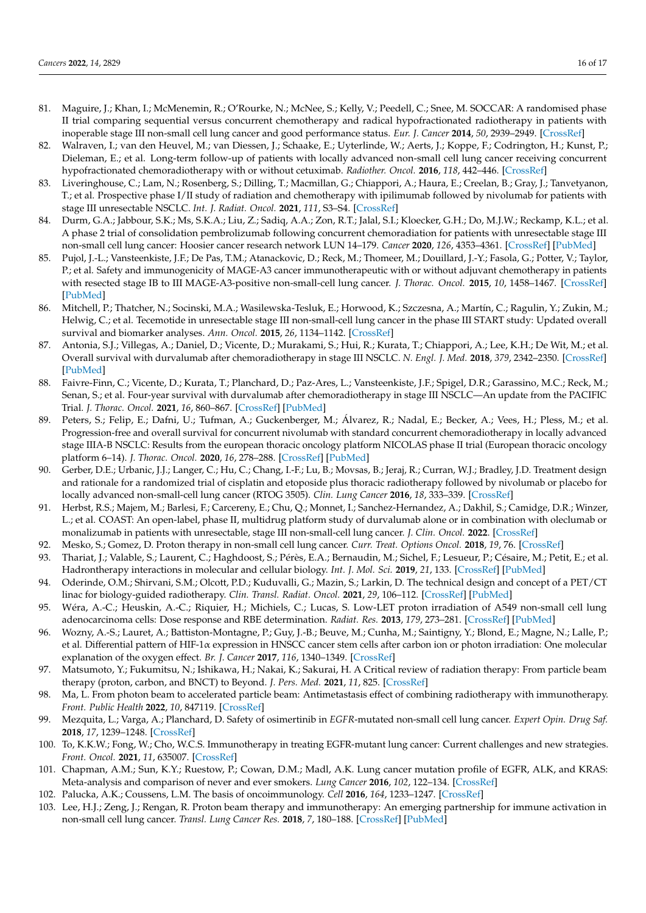- 81. Maguire, J.; Khan, I.; McMenemin, R.; O'Rourke, N.; McNee, S.; Kelly, V.; Peedell, C.; Snee, M. SOCCAR: A randomised phase II trial comparing sequential versus concurrent chemotherapy and radical hypofractionated radiotherapy in patients with inoperable stage III non-small cell lung cancer and good performance status. *Eur. J. Cancer* **2014**, *50*, 2939–2949. [\[CrossRef\]](http://doi.org/10.1016/j.ejca.2014.07.009)
- 82. Walraven, I.; van den Heuvel, M.; van Diessen, J.; Schaake, E.; Uyterlinde, W.; Aerts, J.; Koppe, F.; Codrington, H.; Kunst, P.; Dieleman, E.; et al. Long-term follow-up of patients with locally advanced non-small cell lung cancer receiving concurrent hypofractionated chemoradiotherapy with or without cetuximab. *Radiother. Oncol.* **2016**, *118*, 442–446. [\[CrossRef\]](http://doi.org/10.1016/j.radonc.2016.02.011)
- 83. Liveringhouse, C.; Lam, N.; Rosenberg, S.; Dilling, T.; Macmillan, G.; Chiappori, A.; Haura, E.; Creelan, B.; Gray, J.; Tanvetyanon, T.; et al. Prospective phase I/II study of radiation and chemotherapy with ipilimumab followed by nivolumab for patients with stage III unresectable NSCLC. *Int. J. Radiat. Oncol.* **2021**, *111*, S3–S4. [\[CrossRef\]](http://doi.org/10.1016/j.ijrobp.2021.07.043)
- 84. Durm, G.A.; Jabbour, S.K.; Ms, S.K.A.; Liu, Z.; Sadiq, A.A.; Zon, R.T.; Jalal, S.I.; Kloecker, G.H.; Do, M.J.W.; Reckamp, K.L.; et al. A phase 2 trial of consolidation pembrolizumab following concurrent chemoradiation for patients with unresectable stage III non-small cell lung cancer: Hoosier cancer research network LUN 14–179. *Cancer* **2020**, *126*, 4353–4361. [\[CrossRef\]](http://doi.org/10.1002/cncr.33083) [\[PubMed\]](http://www.ncbi.nlm.nih.gov/pubmed/32697352)
- 85. Pujol, J.-L.; Vansteenkiste, J.F.; De Pas, T.M.; Atanackovic, D.; Reck, M.; Thomeer, M.; Douillard, J.-Y.; Fasola, G.; Potter, V.; Taylor, P.; et al. Safety and immunogenicity of MAGE-A3 cancer immunotherapeutic with or without adjuvant chemotherapy in patients with resected stage IB to III MAGE-A3-positive non-small-cell lung cancer. *J. Thorac. Oncol.* **2015**, *10*, 1458–1467. [\[CrossRef\]](http://doi.org/10.1097/JTO.0000000000000653) [\[PubMed\]](http://www.ncbi.nlm.nih.gov/pubmed/26309191)
- 86. Mitchell, P.; Thatcher, N.; Socinski, M.A.; Wasilewska-Tesluk, E.; Horwood, K.; Szczesna, A.; Martín, C.; Ragulin, Y.; Zukin, M.; Helwig, C.; et al. Tecemotide in unresectable stage III non-small-cell lung cancer in the phase III START study: Updated overall survival and biomarker analyses. *Ann. Oncol.* **2015**, *26*, 1134–1142. [\[CrossRef\]](http://doi.org/10.1093/annonc/mdv104)
- 87. Antonia, S.J.; Villegas, A.; Daniel, D.; Vicente, D.; Murakami, S.; Hui, R.; Kurata, T.; Chiappori, A.; Lee, K.H.; De Wit, M.; et al. Overall survival with durvalumab after chemoradiotherapy in stage III NSCLC. *N. Engl. J. Med.* **2018**, *379*, 2342–2350. [\[CrossRef\]](http://doi.org/10.1056/NEJMoa1809697) [\[PubMed\]](http://www.ncbi.nlm.nih.gov/pubmed/30280658)
- 88. Faivre-Finn, C.; Vicente, D.; Kurata, T.; Planchard, D.; Paz-Ares, L.; Vansteenkiste, J.F.; Spigel, D.R.; Garassino, M.C.; Reck, M.; Senan, S.; et al. Four-year survival with durvalumab after chemoradiotherapy in stage III NSCLC—An update from the PACIFIC Trial. *J. Thorac. Oncol.* **2021**, *16*, 860–867. [\[CrossRef\]](http://doi.org/10.1016/j.jtho.2020.12.015) [\[PubMed\]](http://www.ncbi.nlm.nih.gov/pubmed/33476803)
- 89. Peters, S.; Felip, E.; Dafni, U.; Tufman, A.; Guckenberger, M.; Álvarez, R.; Nadal, E.; Becker, A.; Vees, H.; Pless, M.; et al. Progression-free and overall survival for concurrent nivolumab with standard concurrent chemoradiotherapy in locally advanced stage IIIA-B NSCLC: Results from the european thoracic oncology platform NICOLAS phase II trial (European thoracic oncology platform 6–14). *J. Thorac. Oncol.* **2020**, *16*, 278–288. [\[CrossRef\]](http://doi.org/10.1016/j.jtho.2020.10.129) [\[PubMed\]](http://www.ncbi.nlm.nih.gov/pubmed/33188912)
- 90. Gerber, D.E.; Urbanic, J.J.; Langer, C.; Hu, C.; Chang, I.-F.; Lu, B.; Movsas, B.; Jeraj, R.; Curran, W.J.; Bradley, J.D. Treatment design and rationale for a randomized trial of cisplatin and etoposide plus thoracic radiotherapy followed by nivolumab or placebo for locally advanced non-small-cell lung cancer (RTOG 3505). *Clin. Lung Cancer* **2016**, *18*, 333–339. [\[CrossRef\]](http://doi.org/10.1016/j.cllc.2016.10.009)
- 91. Herbst, R.S.; Majem, M.; Barlesi, F.; Carcereny, E.; Chu, Q.; Monnet, I.; Sanchez-Hernandez, A.; Dakhil, S.; Camidge, D.R.; Winzer, L.; et al. COAST: An open-label, phase II, multidrug platform study of durvalumab alone or in combination with oleclumab or monalizumab in patients with unresectable, stage III non-small-cell lung cancer. *J. Clin. Oncol.* **2022**. [\[CrossRef\]](http://doi.org/10.1200/JCO.22.00227)
- 92. Mesko, S.; Gomez, D. Proton therapy in non-small cell lung cancer. *Curr. Treat. Options Oncol.* **2018**, *19*, 76. [\[CrossRef\]](http://doi.org/10.1007/s11864-018-0588-z)
- 93. Thariat, J.; Valable, S.; Laurent, C.; Haghdoost, S.; Pérès, E.A.; Bernaudin, M.; Sichel, F.; Lesueur, P.; Césaire, M.; Petit, E.; et al. Hadrontherapy interactions in molecular and cellular biology. *Int. J. Mol. Sci.* **2019**, *21*, 133. [\[CrossRef\]](http://doi.org/10.3390/ijms21010133) [\[PubMed\]](http://www.ncbi.nlm.nih.gov/pubmed/31878191)
- 94. Oderinde, O.M.; Shirvani, S.M.; Olcott, P.D.; Kuduvalli, G.; Mazin, S.; Larkin, D. The technical design and concept of a PET/CT linac for biology-guided radiotherapy. *Clin. Transl. Radiat. Oncol.* **2021**, *29*, 106–112. [\[CrossRef\]](http://doi.org/10.1016/j.ctro.2021.04.003) [\[PubMed\]](http://www.ncbi.nlm.nih.gov/pubmed/34258399)
- 95. Wéra, A.-C.; Heuskin, A.-C.; Riquier, H.; Michiels, C.; Lucas, S. Low-LET proton irradiation of A549 non-small cell lung adenocarcinoma cells: Dose response and RBE determination. *Radiat. Res.* **2013**, *179*, 273–281. [\[CrossRef\]](http://doi.org/10.1667/RR3008.1) [\[PubMed\]](http://www.ncbi.nlm.nih.gov/pubmed/23336211)
- 96. Wozny, A.-S.; Lauret, A.; Battiston-Montagne, P.; Guy, J.-B.; Beuve, M.; Cunha, M.; Saintigny, Y.; Blond, E.; Magne, N.; Lalle, P.; et al. Differential pattern of HIF-1α expression in HNSCC cancer stem cells after carbon ion or photon irradiation: One molecular explanation of the oxygen effect. *Br. J. Cancer* **2017**, *116*, 1340–1349. [\[CrossRef\]](http://doi.org/10.1038/bjc.2017.100)
- 97. Matsumoto, Y.; Fukumitsu, N.; Ishikawa, H.; Nakai, K.; Sakurai, H. A Critical review of radiation therapy: From particle beam therapy (proton, carbon, and BNCT) to Beyond. *J. Pers. Med.* **2021**, *11*, 825. [\[CrossRef\]](http://doi.org/10.3390/jpm11080825)
- 98. Ma, L. From photon beam to accelerated particle beam: Antimetastasis effect of combining radiotherapy with immunotherapy. *Front. Public Health* **2022**, *10*, 847119. [\[CrossRef\]](http://doi.org/10.3389/fpubh.2022.847119)
- 99. Mezquita, L.; Varga, A.; Planchard, D. Safety of osimertinib in *EGFR*-mutated non-small cell lung cancer. *Expert Opin. Drug Saf.* **2018**, *17*, 1239–1248. [\[CrossRef\]](http://doi.org/10.1080/14740338.2018.1549222)
- 100. To, K.K.W.; Fong, W.; Cho, W.C.S. Immunotherapy in treating EGFR-mutant lung cancer: Current challenges and new strategies. *Front. Oncol.* **2021**, *11*, 635007. [\[CrossRef\]](http://doi.org/10.3389/fonc.2021.635007)
- 101. Chapman, A.M.; Sun, K.Y.; Ruestow, P.; Cowan, D.M.; Madl, A.K. Lung cancer mutation profile of EGFR, ALK, and KRAS: Meta-analysis and comparison of never and ever smokers. *Lung Cancer* **2016**, *102*, 122–134. [\[CrossRef\]](http://doi.org/10.1016/j.lungcan.2016.10.010)
- 102. Palucka, A.K.; Coussens, L.M. The basis of oncoimmunology. *Cell* **2016**, *164*, 1233–1247. [\[CrossRef\]](http://doi.org/10.1016/j.cell.2016.01.049)
- 103. Lee, H.J.; Zeng, J.; Rengan, R. Proton beam therapy and immunotherapy: An emerging partnership for immune activation in non-small cell lung cancer. *Transl. Lung Cancer Res.* **2018**, *7*, 180–188. [\[CrossRef\]](http://doi.org/10.21037/tlcr.2018.03.28) [\[PubMed\]](http://www.ncbi.nlm.nih.gov/pubmed/29876317)